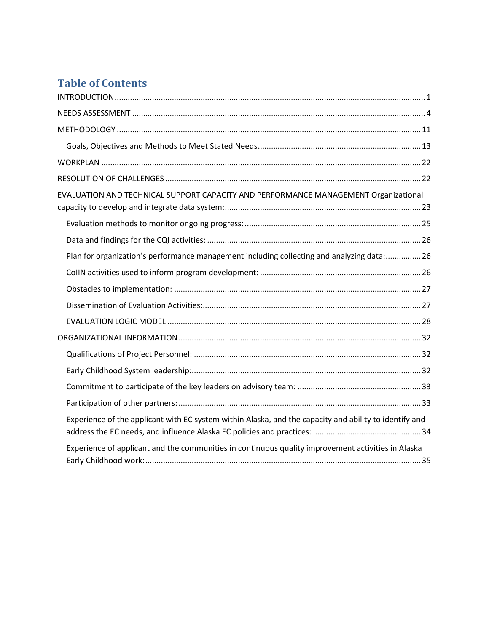# **Table of Contents**

| EVALUATION AND TECHNICAL SUPPORT CAPACITY AND PERFORMANCE MANAGEMENT Organizational                    |
|--------------------------------------------------------------------------------------------------------|
|                                                                                                        |
|                                                                                                        |
| Plan for organization's performance management including collecting and analyzing data: 26             |
|                                                                                                        |
|                                                                                                        |
|                                                                                                        |
|                                                                                                        |
|                                                                                                        |
|                                                                                                        |
|                                                                                                        |
|                                                                                                        |
|                                                                                                        |
| Experience of the applicant with EC system within Alaska, and the capacity and ability to identify and |
| Experience of applicant and the communities in continuous quality improvement activities in Alaska     |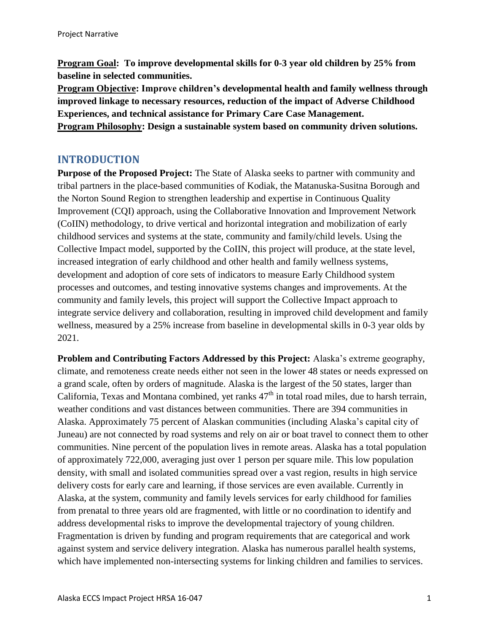**Program Goal: To improve developmental skills for 0-3 year old children by 25% from baseline in selected communities.** 

**Program Objective: Improve children's developmental health and family wellness through improved linkage to necessary resources, reduction of the impact of Adverse Childhood Experiences, and technical assistance for Primary Care Case Management. Program Philosophy: Design a sustainable system based on community driven solutions.**

### <span id="page-1-0"></span>**INTRODUCTION**

**Purpose of the Proposed Project:** The State of Alaska seeks to partner with community and tribal partners in the place-based communities of Kodiak, the Matanuska-Susitna Borough and the Norton Sound Region to strengthen leadership and expertise in Continuous Quality Improvement (CQI) approach, using the Collaborative Innovation and Improvement Network (CoIIN) methodology, to drive vertical and horizontal integration and mobilization of early childhood services and systems at the state, community and family/child levels. Using the Collective Impact model, supported by the CoIIN, this project will produce, at the state level, increased integration of early childhood and other health and family wellness systems, development and adoption of core sets of indicators to measure Early Childhood system processes and outcomes, and testing innovative systems changes and improvements. At the community and family levels, this project will support the Collective Impact approach to integrate service delivery and collaboration, resulting in improved child development and family wellness, measured by a 25% increase from baseline in developmental skills in 0-3 year olds by 2021.

**Problem and Contributing Factors Addressed by this Project:** Alaska's extreme geography, climate, and remoteness create needs either not seen in the lower 48 states or needs expressed on a grand scale, often by orders of magnitude. Alaska is the largest of the 50 states, larger than California, Texas and Montana combined, yet ranks  $47<sup>th</sup>$  in total road miles, due to harsh terrain, weather conditions and vast distances between communities. There are 394 communities in Alaska. Approximately 75 percent of Alaskan communities (including Alaska's capital city of Juneau) are not connected by road systems and rely on air or boat travel to connect them to other communities. Nine percent of the population lives in remote areas. Alaska has a total population of approximately 722,000, averaging just over 1 person per square mile. This low population density, with small and isolated communities spread over a vast region, results in high service delivery costs for early care and learning, if those services are even available. Currently in Alaska, at the system, community and family levels services for early childhood for families from prenatal to three years old are fragmented, with little or no coordination to identify and address developmental risks to improve the developmental trajectory of young children. Fragmentation is driven by funding and program requirements that are categorical and work against system and service delivery integration. Alaska has numerous parallel health systems, which have implemented non-intersecting systems for linking children and families to services.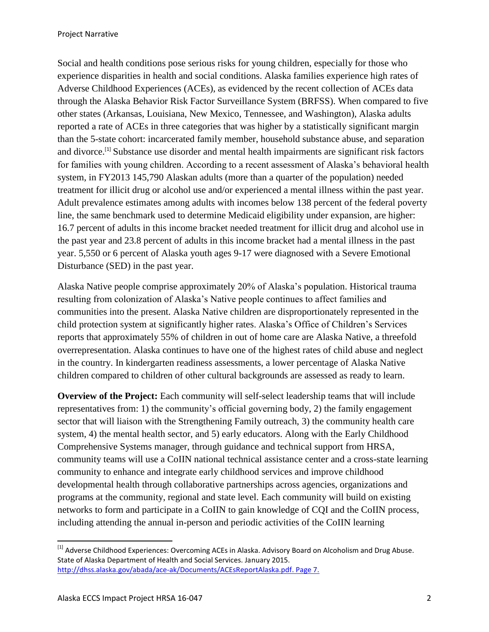Social and health conditions pose serious risks for young children, especially for those who experience disparities in health and social conditions. Alaska families experience high rates of Adverse Childhood Experiences (ACEs), as evidenced by the recent collection of ACEs data through the Alaska Behavior Risk Factor Surveillance System (BRFSS). When compared to five other states (Arkansas, Louisiana, New Mexico, Tennessee, and Washington), Alaska adults reported a rate of ACEs in three categories that was higher by a statistically significant margin than the 5-state cohort: incarcerated family member, household substance abuse, and separation and divorce.<sup>[1]</sup> Substance use disorder and mental health impairments are significant risk factors for families with young children. According to a recent assessment of Alaska's behavioral health system, in FY2013 145,790 Alaskan adults (more than a quarter of the population) needed treatment for illicit drug or alcohol use and/or experienced a mental illness within the past year. Adult prevalence estimates among adults with incomes below 138 percent of the federal poverty line, the same benchmark used to determine Medicaid eligibility under expansion, are higher: 16.7 percent of adults in this income bracket needed treatment for illicit drug and alcohol use in the past year and 23.8 percent of adults in this income bracket had a mental illness in the past year. 5,550 or 6 percent of Alaska youth ages 9-17 were diagnosed with a Severe Emotional Disturbance (SED) in the past year.

Alaska Native people comprise approximately 20% of Alaska's population. Historical trauma resulting from colonization of Alaska's Native people continues to affect families and communities into the present. Alaska Native children are disproportionately represented in the child protection system at significantly higher rates. Alaska's Office of Children's Services reports that approximately 55% of children in out of home care are Alaska Native, a threefold overrepresentation. Alaska continues to have one of the highest rates of child abuse and neglect in the country. In kindergarten readiness assessments, a lower percentage of Alaska Native children compared to children of other cultural backgrounds are assessed as ready to learn.

**Overview of the Project:** Each community will self-select leadership teams that will include representatives from: 1) the community's official governing body, 2) the family engagement sector that will liaison with the Strengthening Family outreach, 3) the community health care system, 4) the mental health sector, and 5) early educators. Along with the Early Childhood Comprehensive Systems manager, through guidance and technical support from HRSA, community teams will use a CoIIN national technical assistance center and a cross-state learning community to enhance and integrate early childhood services and improve childhood developmental health through collaborative partnerships across agencies, organizations and programs at the community, regional and state level. Each community will build on existing networks to form and participate in a CoIIN to gain knowledge of CQI and the CoIIN process, including attending the annual in-person and periodic activities of the CoIIN learning

 $\overline{\phantom{a}}$ 

 $^{[1]}$  Adverse Childhood Experiences: Overcoming ACEs in Alaska. Advisory Board on Alcoholism and Drug Abuse. State of Alaska Department of Health and Social Services. January 2015. [http://dhss.alaska.gov/abada/ace-ak/Documents/ACEsReportAlaska.pdf.](http://dhss.alaska.gov/abada/ace-ak/Documents/ACEsReportAlaska.pdf) Page 7.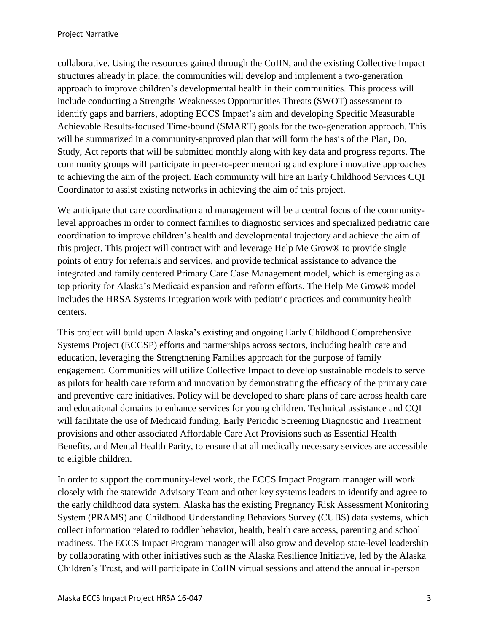collaborative. Using the resources gained through the CoIIN, and the existing Collective Impact structures already in place, the communities will develop and implement a two-generation approach to improve children's developmental health in their communities. This process will include conducting a Strengths Weaknesses Opportunities Threats (SWOT) assessment to identify gaps and barriers, adopting ECCS Impact's aim and developing Specific Measurable Achievable Results-focused Time-bound (SMART) goals for the two-generation approach. This will be summarized in a community-approved plan that will form the basis of the Plan, Do, Study, Act reports that will be submitted monthly along with key data and progress reports. The community groups will participate in peer-to-peer mentoring and explore innovative approaches to achieving the aim of the project. Each community will hire an Early Childhood Services CQI Coordinator to assist existing networks in achieving the aim of this project.

We anticipate that care coordination and management will be a central focus of the communitylevel approaches in order to connect families to diagnostic services and specialized pediatric care coordination to improve children's health and developmental trajectory and achieve the aim of this project. This project will contract with and leverage Help Me Grow® to provide single points of entry for referrals and services, and provide technical assistance to advance the integrated and family centered Primary Care Case Management model, which is emerging as a top priority for Alaska's Medicaid expansion and reform efforts. The Help Me Grow® model includes the HRSA Systems Integration work with pediatric practices and community health centers.

This project will build upon Alaska's existing and ongoing Early Childhood Comprehensive Systems Project (ECCSP) efforts and partnerships across sectors, including health care and education, leveraging the Strengthening Families approach for the purpose of family engagement. Communities will utilize Collective Impact to develop sustainable models to serve as pilots for health care reform and innovation by demonstrating the efficacy of the primary care and preventive care initiatives. Policy will be developed to share plans of care across health care and educational domains to enhance services for young children. Technical assistance and CQI will facilitate the use of Medicaid funding, Early Periodic Screening Diagnostic and Treatment provisions and other associated Affordable Care Act Provisions such as Essential Health Benefits, and Mental Health Parity, to ensure that all medically necessary services are accessible to eligible children.

In order to support the community-level work, the ECCS Impact Program manager will work closely with the statewide Advisory Team and other key systems leaders to identify and agree to the early childhood data system. Alaska has the existing Pregnancy Risk Assessment Monitoring System (PRAMS) and Childhood Understanding Behaviors Survey (CUBS) data systems, which collect information related to toddler behavior, health, health care access, parenting and school readiness. The ECCS Impact Program manager will also grow and develop state-level leadership by collaborating with other initiatives such as the Alaska Resilience Initiative, led by the Alaska Children's Trust, and will participate in CoIIN virtual sessions and attend the annual in-person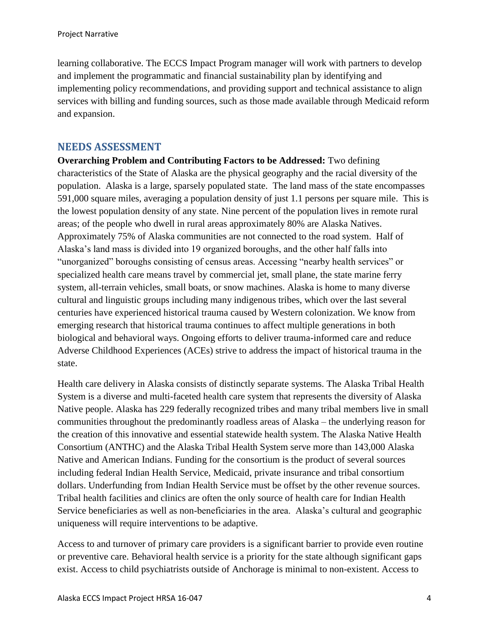learning collaborative. The ECCS Impact Program manager will work with partners to develop and implement the programmatic and financial sustainability plan by identifying and implementing policy recommendations, and providing support and technical assistance to align services with billing and funding sources, such as those made available through Medicaid reform and expansion.

### <span id="page-4-0"></span>**NEEDS ASSESSMENT**

**Overarching Problem and Contributing Factors to be Addressed:** Two defining characteristics of the State of Alaska are the physical geography and the racial diversity of the population. Alaska is a large, sparsely populated state. The land mass of the state encompasses 591,000 square miles, averaging a population density of just 1.1 persons per square mile. This is the lowest population density of any state. Nine percent of the population lives in remote rural areas; of the people who dwell in rural areas approximately 80% are Alaska Natives. Approximately 75% of Alaska communities are not connected to the road system. Half of Alaska's land mass is divided into 19 organized boroughs, and the other half falls into "unorganized" boroughs consisting of census areas. Accessing "nearby health services" or specialized health care means travel by commercial jet, small plane, the state marine ferry system, all-terrain vehicles, small boats, or snow machines. Alaska is home to many diverse cultural and linguistic groups including many indigenous tribes, which over the last several centuries have experienced historical trauma caused by Western colonization. We know from emerging research that historical trauma continues to affect multiple generations in both biological and behavioral ways. Ongoing efforts to deliver trauma-informed care and reduce Adverse Childhood Experiences (ACEs) strive to address the impact of historical trauma in the state.

Health care delivery in Alaska consists of distinctly separate systems. The Alaska Tribal Health System is a diverse and multi-faceted health care system that represents the diversity of Alaska Native people. Alaska has 229 federally recognized tribes and many tribal members live in small communities throughout the predominantly roadless areas of Alaska – the underlying reason for the creation of this innovative and essential statewide health system. The Alaska Native Health Consortium (ANTHC) and the Alaska Tribal Health System serve more than 143,000 Alaska Native and American Indians. Funding for the consortium is the product of several sources including federal Indian Health Service, Medicaid, private insurance and tribal consortium dollars. Underfunding from Indian Health Service must be offset by the other revenue sources. Tribal health facilities and clinics are often the only source of health care for Indian Health Service beneficiaries as well as non-beneficiaries in the area. Alaska's cultural and geographic uniqueness will require interventions to be adaptive.

Access to and turnover of primary care providers is a significant barrier to provide even routine or preventive care. Behavioral health service is a priority for the state although significant gaps exist. Access to child psychiatrists outside of Anchorage is minimal to non-existent. Access to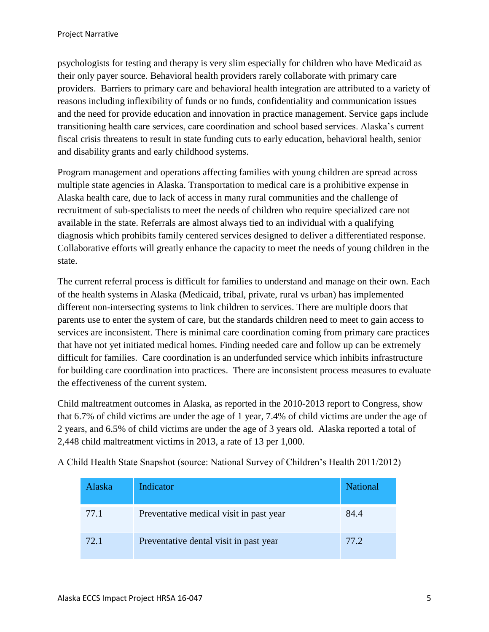psychologists for testing and therapy is very slim especially for children who have Medicaid as their only payer source. Behavioral health providers rarely collaborate with primary care providers. Barriers to primary care and behavioral health integration are attributed to a variety of reasons including inflexibility of funds or no funds, confidentiality and communication issues and the need for provide education and innovation in practice management. Service gaps include transitioning health care services, care coordination and school based services. Alaska's current fiscal crisis threatens to result in state funding cuts to early education, behavioral health, senior and disability grants and early childhood systems.

Program management and operations affecting families with young children are spread across multiple state agencies in Alaska. Transportation to medical care is a prohibitive expense in Alaska health care, due to lack of access in many rural communities and the challenge of recruitment of sub-specialists to meet the needs of children who require specialized care not available in the state. Referrals are almost always tied to an individual with a qualifying diagnosis which prohibits family centered services designed to deliver a differentiated response. Collaborative efforts will greatly enhance the capacity to meet the needs of young children in the state.

The current referral process is difficult for families to understand and manage on their own. Each of the health systems in Alaska (Medicaid, tribal, private, rural vs urban) has implemented different non-intersecting systems to link children to services. There are multiple doors that parents use to enter the system of care, but the standards children need to meet to gain access to services are inconsistent. There is minimal care coordination coming from primary care practices that have not yet initiated medical homes. Finding needed care and follow up can be extremely difficult for families. Care coordination is an underfunded service which inhibits infrastructure for building care coordination into practices. There are inconsistent process measures to evaluate the effectiveness of the current system.

Child maltreatment outcomes in Alaska, as reported in the 2010-2013 report to Congress, show that 6.7% of child victims are under the age of 1 year, 7.4% of child victims are under the age of 2 years, and 6.5% of child victims are under the age of 3 years old. Alaska reported a total of 2,448 child maltreatment victims in 2013, a rate of 13 per 1,000.

| Alaska | <b>Indicator</b>                        | <b>National</b> |
|--------|-----------------------------------------|-----------------|
| 77.1   | Preventative medical visit in past year | 84.4            |
| 72.1   | Preventative dental visit in past year  | 77.2            |

A Child Health State Snapshot (source: National Survey of Children's Health 2011/2012)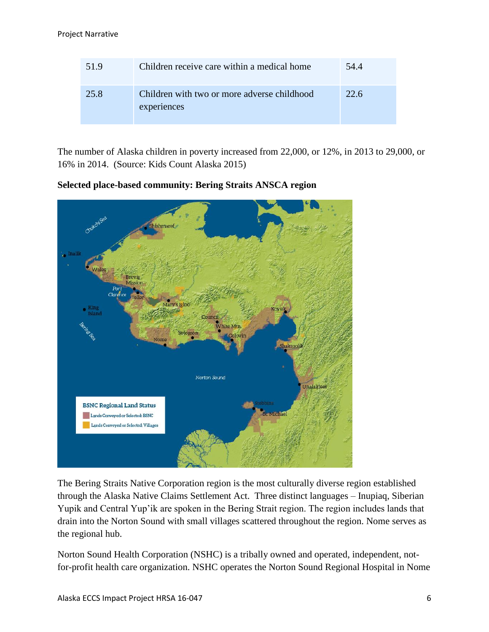| 51.9 | Children receive care within a medical home                | 54.4 |
|------|------------------------------------------------------------|------|
| 25.8 | Children with two or more adverse childhood<br>experiences | 22.6 |

The number of Alaska children in poverty increased from 22,000, or 12%, in 2013 to 29,000, or 16% in 2014. (Source: Kids Count Alaska 2015)

ishmaref Mary's Igloo Counci hite Mtn Vome Shaktoolik Norton Sound Unalakleet **BSNC Regional Land Status** Lands Conveyed or Selected: BSNC Lands Conveyed or Selected: Villages

**Selected place-based community: Bering Straits ANSCA region**

The Bering Straits Native Corporation region is the most culturally diverse region established through the Alaska Native Claims Settlement Act. Three distinct languages – Inupiaq, Siberian Yupik and Central Yup'ik are spoken in the Bering Strait region. The region includes lands that drain into the Norton Sound with small villages scattered throughout the region. Nome serves as the regional hub.

Norton Sound Health Corporation (NSHC) is a tribally owned and operated, independent, notfor-profit health care organization. NSHC operates the Norton Sound Regional Hospital in Nome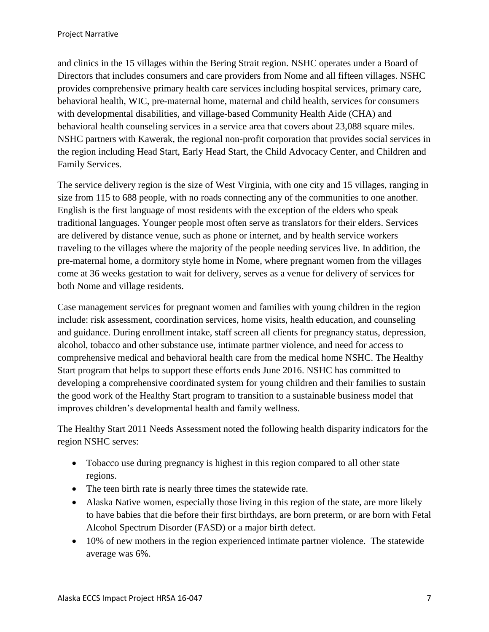and clinics in the 15 villages within the Bering Strait region. NSHC operates under a Board of Directors that includes consumers and care providers from Nome and all fifteen villages. NSHC provides comprehensive primary health care services including hospital services, primary care, behavioral health, WIC, pre-maternal home, maternal and child health, services for consumers with developmental disabilities, and village-based Community Health Aide (CHA) and behavioral health counseling services in a service area that covers about 23,088 square miles. NSHC partners with Kawerak, the regional non-profit corporation that provides social services in the region including Head Start, Early Head Start, the Child Advocacy Center, and Children and Family Services.

The service delivery region is the size of West Virginia, with one city and 15 villages, ranging in size from 115 to 688 people, with no roads connecting any of the communities to one another. English is the first language of most residents with the exception of the elders who speak traditional languages. Younger people most often serve as translators for their elders. Services are delivered by distance venue, such as phone or internet, and by health service workers traveling to the villages where the majority of the people needing services live. In addition, the pre-maternal home, a dormitory style home in Nome, where pregnant women from the villages come at 36 weeks gestation to wait for delivery, serves as a venue for delivery of services for both Nome and village residents.

Case management services for pregnant women and families with young children in the region include: risk assessment, coordination services, home visits, health education, and counseling and guidance. During enrollment intake, staff screen all clients for pregnancy status, depression, alcohol, tobacco and other substance use, intimate partner violence, and need for access to comprehensive medical and behavioral health care from the medical home NSHC. The Healthy Start program that helps to support these efforts ends June 2016. NSHC has committed to developing a comprehensive coordinated system for young children and their families to sustain the good work of the Healthy Start program to transition to a sustainable business model that improves children's developmental health and family wellness.

The Healthy Start 2011 Needs Assessment noted the following health disparity indicators for the region NSHC serves:

- Tobacco use during pregnancy is highest in this region compared to all other state regions.
- The teen birth rate is nearly three times the statewide rate.
- Alaska Native women, especially those living in this region of the state, are more likely to have babies that die before their first birthdays, are born preterm, or are born with Fetal Alcohol Spectrum Disorder (FASD) or a major birth defect.
- 10% of new mothers in the region experienced intimate partner violence. The statewide average was 6%.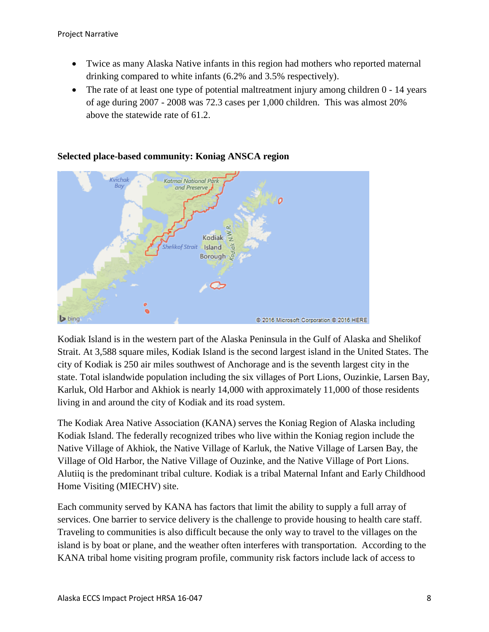- Twice as many Alaska Native infants in this region had mothers who reported maternal drinking compared to white infants (6.2% and 3.5% respectively).
- The rate of at least one type of potential maltreatment injury among children 0 14 years of age during 2007 - 2008 was 72.3 cases per 1,000 children. This was almost 20% above the statewide rate of 61.2.



#### **Selected place-based community: Koniag ANSCA region**

Kodiak Island is in the western part of the Alaska Peninsula in the Gulf of Alaska and Shelikof Strait. At 3,588 square miles, Kodiak Island is the second largest island in the United States. The city of Kodiak is 250 air miles southwest of Anchorage and is the seventh largest city in the state. Total islandwide population including the six villages of Port Lions, Ouzinkie, Larsen Bay, Karluk, Old Harbor and Akhiok is nearly 14,000 with approximately 11,000 of those residents living in and around the city of Kodiak and its road system.

The Kodiak Area Native Association (KANA) serves the Koniag Region of Alaska including Kodiak Island. The federally recognized tribes who live within the Koniag region include the Native Village of Akhiok, the Native Village of Karluk, the Native Village of Larsen Bay, the Village of Old Harbor, the Native Village of Ouzinke, and the Native Village of Port Lions. Alutiiq is the predominant tribal culture. Kodiak is a tribal Maternal Infant and Early Childhood Home Visiting (MIECHV) site.

Each community served by KANA has factors that limit the ability to supply a full array of services. One barrier to service delivery is the challenge to provide housing to health care staff. Traveling to communities is also difficult because the only way to travel to the villages on the island is by boat or plane, and the weather often interferes with transportation. According to the KANA tribal home visiting program profile, community risk factors include lack of access to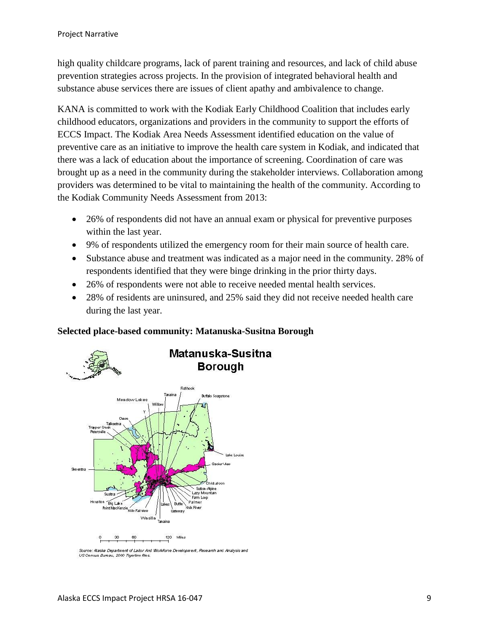high quality childcare programs, lack of parent training and resources, and lack of child abuse prevention strategies across projects. In the provision of integrated behavioral health and substance abuse services there are issues of client apathy and ambivalence to change.

KANA is committed to work with the Kodiak Early Childhood Coalition that includes early childhood educators, organizations and providers in the community to support the efforts of ECCS Impact. The Kodiak Area Needs Assessment identified education on the value of preventive care as an initiative to improve the health care system in Kodiak, and indicated that there was a lack of education about the importance of screening. Coordination of care was brought up as a need in the community during the stakeholder interviews. Collaboration among providers was determined to be vital to maintaining the health of the community. According to the Kodiak Community Needs Assessment from 2013:

- 26% of respondents did not have an annual exam or physical for preventive purposes within the last year.
- 9% of respondents utilized the emergency room for their main source of health care.
- Substance abuse and treatment was indicated as a major need in the community. 28% of respondents identified that they were binge drinking in the prior thirty days.
- 26% of respondents were not able to receive needed mental health services.
- 28% of residents are uninsured, and 25% said they did not receive needed health care during the last year.

### **Selected place-based community: Matanuska-Susitna Borough**



Source: Alaska Department of Labor And Workforce Development, Research and Analysis and US Census Bureau, 2000 Trgerline files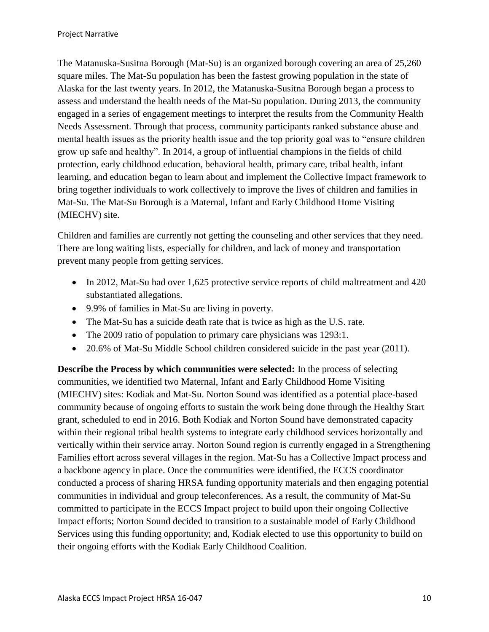The Matanuska-Susitna Borough (Mat-Su) is an organized borough covering an area of 25,260 square miles. The Mat-Su population has been the fastest growing population in the state of Alaska for the last twenty years. In 2012, the Matanuska-Susitna Borough began a process to assess and understand the health needs of the Mat-Su population. During 2013, the community engaged in a series of engagement meetings to interpret the results from the Community Health Needs Assessment. Through that process, community participants ranked substance abuse and mental health issues as the priority health issue and the top priority goal was to "ensure children grow up safe and healthy". In 2014, a group of influential champions in the fields of child protection, early childhood education, behavioral health, primary care, tribal health, infant learning, and education began to learn about and implement the Collective Impact framework to bring together individuals to work collectively to improve the lives of children and families in Mat-Su. The Mat-Su Borough is a Maternal, Infant and Early Childhood Home Visiting (MIECHV) site.

Children and families are currently not getting the counseling and other services that they need. There are long waiting lists, especially for children, and lack of money and transportation prevent many people from getting services.

- In 2012, Mat-Su had over 1,625 protective service reports of child maltreatment and 420 substantiated allegations.
- 9.9% of families in Mat-Su are living in poverty.
- The Mat-Su has a suicide death rate that is twice as high as the U.S. rate.
- The 2009 ratio of population to primary care physicians was 1293:1.
- 20.6% of Mat-Su Middle School children considered suicide in the past year (2011).

**Describe the Process by which communities were selected:** In the process of selecting communities, we identified two Maternal, Infant and Early Childhood Home Visiting (MIECHV) sites: Kodiak and Mat-Su. Norton Sound was identified as a potential place-based community because of ongoing efforts to sustain the work being done through the Healthy Start grant, scheduled to end in 2016. Both Kodiak and Norton Sound have demonstrated capacity within their regional tribal health systems to integrate early childhood services horizontally and vertically within their service array. Norton Sound region is currently engaged in a Strengthening Families effort across several villages in the region. Mat-Su has a Collective Impact process and a backbone agency in place. Once the communities were identified, the ECCS coordinator conducted a process of sharing HRSA funding opportunity materials and then engaging potential communities in individual and group teleconferences. As a result, the community of Mat-Su committed to participate in the ECCS Impact project to build upon their ongoing Collective Impact efforts; Norton Sound decided to transition to a sustainable model of Early Childhood Services using this funding opportunity; and, Kodiak elected to use this opportunity to build on their ongoing efforts with the Kodiak Early Childhood Coalition.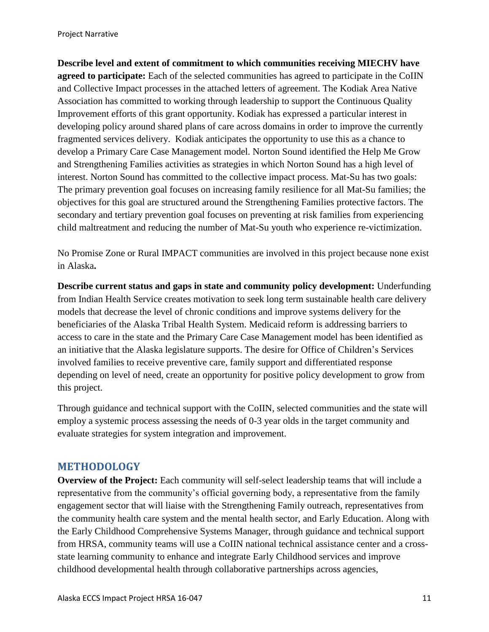**Describe level and extent of commitment to which communities receiving MIECHV have agreed to participate:** Each of the selected communities has agreed to participate in the CoIIN and Collective Impact processes in the attached letters of agreement. The Kodiak Area Native Association has committed to working through leadership to support the Continuous Quality Improvement efforts of this grant opportunity. Kodiak has expressed a particular interest in developing policy around shared plans of care across domains in order to improve the currently fragmented services delivery. Kodiak anticipates the opportunity to use this as a chance to develop a Primary Care Case Management model. Norton Sound identified the Help Me Grow and Strengthening Families activities as strategies in which Norton Sound has a high level of interest. Norton Sound has committed to the collective impact process. Mat-Su has two goals: The primary prevention goal focuses on increasing family resilience for all Mat-Su families; the objectives for this goal are structured around the Strengthening Families protective factors. The secondary and tertiary prevention goal focuses on preventing at risk families from experiencing child maltreatment and reducing the number of Mat-Su youth who experience re-victimization.

No Promise Zone or Rural IMPACT communities are involved in this project because none exist in Alaska**.** 

**Describe current status and gaps in state and community policy development:** Underfunding from Indian Health Service creates motivation to seek long term sustainable health care delivery models that decrease the level of chronic conditions and improve systems delivery for the beneficiaries of the Alaska Tribal Health System. Medicaid reform is addressing barriers to access to care in the state and the Primary Care Case Management model has been identified as an initiative that the Alaska legislature supports. The desire for Office of Children's Services involved families to receive preventive care, family support and differentiated response depending on level of need, create an opportunity for positive policy development to grow from this project.

Through guidance and technical support with the CoIIN, selected communities and the state will employ a systemic process assessing the needs of 0-3 year olds in the target community and evaluate strategies for system integration and improvement.

### <span id="page-11-0"></span>**METHODOLOGY**

**Overview of the Project:** Each community will self-select leadership teams that will include a representative from the community's official governing body, a representative from the family engagement sector that will liaise with the Strengthening Family outreach, representatives from the community health care system and the mental health sector, and Early Education. Along with the Early Childhood Comprehensive Systems Manager, through guidance and technical support from HRSA, community teams will use a CoIIN national technical assistance center and a crossstate learning community to enhance and integrate Early Childhood services and improve childhood developmental health through collaborative partnerships across agencies,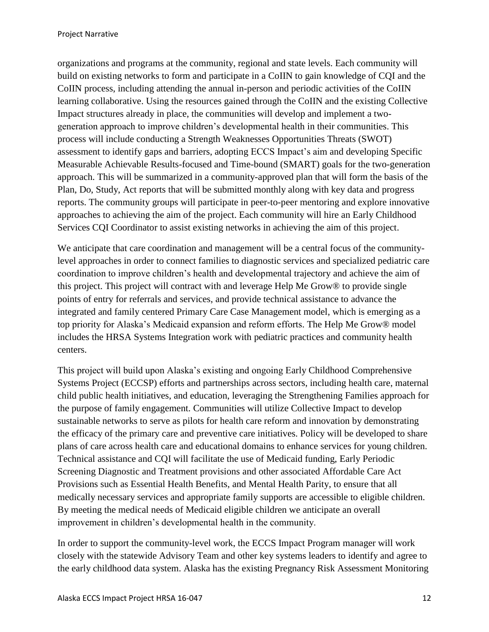organizations and programs at the community, regional and state levels. Each community will build on existing networks to form and participate in a CoIIN to gain knowledge of CQI and the CoIIN process, including attending the annual in-person and periodic activities of the CoIIN learning collaborative. Using the resources gained through the CoIIN and the existing Collective Impact structures already in place, the communities will develop and implement a twogeneration approach to improve children's developmental health in their communities. This process will include conducting a Strength Weaknesses Opportunities Threats (SWOT) assessment to identify gaps and barriers, adopting ECCS Impact's aim and developing Specific Measurable Achievable Results-focused and Time-bound (SMART) goals for the two-generation approach. This will be summarized in a community-approved plan that will form the basis of the Plan, Do, Study, Act reports that will be submitted monthly along with key data and progress reports. The community groups will participate in peer-to-peer mentoring and explore innovative approaches to achieving the aim of the project. Each community will hire an Early Childhood Services CQI Coordinator to assist existing networks in achieving the aim of this project.

We anticipate that care coordination and management will be a central focus of the communitylevel approaches in order to connect families to diagnostic services and specialized pediatric care coordination to improve children's health and developmental trajectory and achieve the aim of this project. This project will contract with and leverage Help Me Grow® to provide single points of entry for referrals and services, and provide technical assistance to advance the integrated and family centered Primary Care Case Management model, which is emerging as a top priority for Alaska's Medicaid expansion and reform efforts. The Help Me Grow® model includes the HRSA Systems Integration work with pediatric practices and community health centers.

This project will build upon Alaska's existing and ongoing Early Childhood Comprehensive Systems Project (ECCSP) efforts and partnerships across sectors, including health care, maternal child public health initiatives, and education, leveraging the Strengthening Families approach for the purpose of family engagement. Communities will utilize Collective Impact to develop sustainable networks to serve as pilots for health care reform and innovation by demonstrating the efficacy of the primary care and preventive care initiatives. Policy will be developed to share plans of care across health care and educational domains to enhance services for young children. Technical assistance and CQI will facilitate the use of Medicaid funding, Early Periodic Screening Diagnostic and Treatment provisions and other associated Affordable Care Act Provisions such as Essential Health Benefits, and Mental Health Parity, to ensure that all medically necessary services and appropriate family supports are accessible to eligible children. By meeting the medical needs of Medicaid eligible children we anticipate an overall improvement in children's developmental health in the community.

In order to support the community-level work, the ECCS Impact Program manager will work closely with the statewide Advisory Team and other key systems leaders to identify and agree to the early childhood data system. Alaska has the existing Pregnancy Risk Assessment Monitoring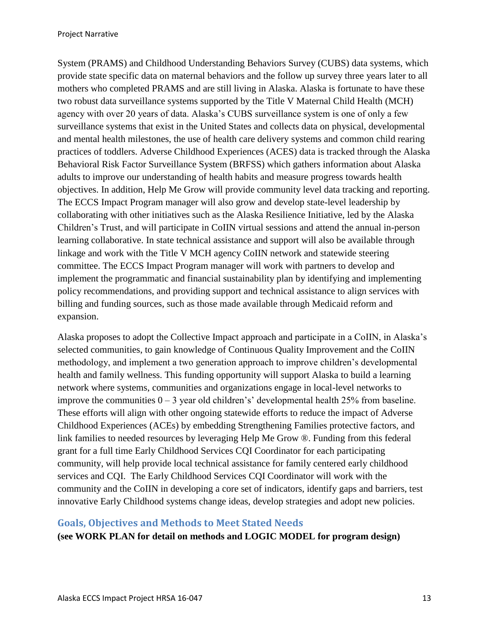System (PRAMS) and Childhood Understanding Behaviors Survey (CUBS) data systems, which provide state specific data on maternal behaviors and the follow up survey three years later to all mothers who completed PRAMS and are still living in Alaska. Alaska is fortunate to have these two robust data surveillance systems supported by the Title V Maternal Child Health (MCH) agency with over 20 years of data. Alaska's CUBS surveillance system is one of only a few surveillance systems that exist in the United States and collects data on physical, developmental and mental health milestones, the use of health care delivery systems and common child rearing practices of toddlers. Adverse Childhood Experiences (ACES) data is tracked through the Alaska Behavioral Risk Factor Surveillance System (BRFSS) which gathers information about Alaska adults to improve our understanding of health habits and measure progress towards health objectives. In addition, Help Me Grow will provide community level data tracking and reporting. The ECCS Impact Program manager will also grow and develop state-level leadership by collaborating with other initiatives such as the Alaska Resilience Initiative, led by the Alaska Children's Trust, and will participate in CoIIN virtual sessions and attend the annual in-person learning collaborative. In state technical assistance and support will also be available through linkage and work with the Title V MCH agency CoIIN network and statewide steering committee. The ECCS Impact Program manager will work with partners to develop and implement the programmatic and financial sustainability plan by identifying and implementing policy recommendations, and providing support and technical assistance to align services with billing and funding sources, such as those made available through Medicaid reform and expansion.

Alaska proposes to adopt the Collective Impact approach and participate in a CoIIN, in Alaska's selected communities, to gain knowledge of Continuous Quality Improvement and the CoIIN methodology, and implement a two generation approach to improve children's developmental health and family wellness. This funding opportunity will support Alaska to build a learning network where systems, communities and organizations engage in local-level networks to improve the communities  $0 - 3$  year old children's' developmental health 25% from baseline. These efforts will align with other ongoing statewide efforts to reduce the impact of Adverse Childhood Experiences (ACEs) by embedding Strengthening Families protective factors, and link families to needed resources by leveraging Help Me Grow ®. Funding from this federal grant for a full time Early Childhood Services CQI Coordinator for each participating community, will help provide local technical assistance for family centered early childhood services and CQI. The Early Childhood Services CQI Coordinator will work with the community and the CoIIN in developing a core set of indicators, identify gaps and barriers, test innovative Early Childhood systems change ideas, develop strategies and adopt new policies.

#### <span id="page-13-0"></span>**Goals, Objectives and Methods to Meet Stated Needs**

**(see WORK PLAN for detail on methods and LOGIC MODEL for program design)**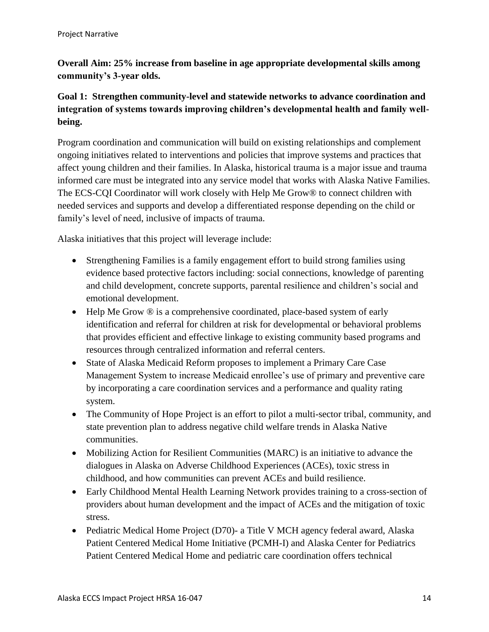### **Overall Aim: 25% increase from baseline in age appropriate developmental skills among community's 3-year olds.**

### **Goal 1: Strengthen community-level and statewide networks to advance coordination and integration of systems towards improving children's developmental health and family wellbeing.**

Program coordination and communication will build on existing relationships and complement ongoing initiatives related to interventions and policies that improve systems and practices that affect young children and their families. In Alaska, historical trauma is a major issue and trauma informed care must be integrated into any service model that works with Alaska Native Families. The ECS-CQI Coordinator will work closely with Help Me Grow® to connect children with needed services and supports and develop a differentiated response depending on the child or family's level of need, inclusive of impacts of trauma.

Alaska initiatives that this project will leverage include:

- Strengthening Families is a family engagement effort to build strong families using evidence based protective factors including: social connections, knowledge of parenting and child development, concrete supports, parental resilience and children's social and emotional development.
- Help Me Grow  $\circledR$  is a comprehensive coordinated, place-based system of early identification and referral for children at risk for developmental or behavioral problems that provides efficient and effective linkage to existing community based programs and resources through centralized information and referral centers.
- State of Alaska Medicaid Reform proposes to implement a Primary Care Case Management System to increase Medicaid enrollee's use of primary and preventive care by incorporating a care coordination services and a performance and quality rating system.
- The Community of Hope Project is an effort to pilot a multi-sector tribal, community, and state prevention plan to address negative child welfare trends in Alaska Native communities.
- Mobilizing Action for Resilient Communities (MARC) is an initiative to advance the dialogues in Alaska on Adverse Childhood Experiences (ACEs), toxic stress in childhood, and how communities can prevent ACEs and build resilience.
- Early Childhood Mental Health Learning Network provides training to a cross-section of providers about human development and the impact of ACEs and the mitigation of toxic stress.
- Pediatric Medical Home Project (D70)- a Title V MCH agency federal award, Alaska Patient Centered Medical Home Initiative (PCMH-I) and Alaska Center for Pediatrics Patient Centered Medical Home and pediatric care coordination offers technical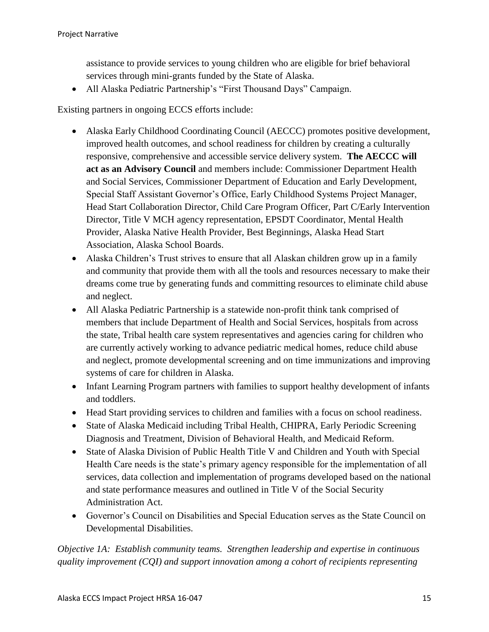assistance to provide services to young children who are eligible for brief behavioral services through mini-grants funded by the State of Alaska.

All Alaska Pediatric Partnership's "First Thousand Days" Campaign.

Existing partners in ongoing ECCS efforts include:

- Alaska Early Childhood Coordinating Council (AECCC) promotes positive development, improved health outcomes, and school readiness for children by creating a culturally responsive, comprehensive and accessible service delivery system. **The AECCC will act as an Advisory Council** and members include: Commissioner Department Health and Social Services, Commissioner Department of Education and Early Development, Special Staff Assistant Governor's Office, Early Childhood Systems Project Manager, Head Start Collaboration Director, Child Care Program Officer, Part C/Early Intervention Director, Title V MCH agency representation, EPSDT Coordinator, Mental Health Provider, Alaska Native Health Provider, Best Beginnings, Alaska Head Start Association, Alaska School Boards.
- Alaska Children's Trust strives to ensure that all Alaskan children grow up in a family and community that provide them with all the tools and resources necessary to make their dreams come true by generating funds and committing resources to eliminate child abuse and neglect.
- All Alaska Pediatric Partnership is a statewide non-profit think tank comprised of members that include Department of Health and Social Services, hospitals from across the state, Tribal health care system representatives and agencies caring for children who are currently actively working to advance pediatric medical homes, reduce child abuse and neglect, promote developmental screening and on time immunizations and improving systems of care for children in Alaska.
- Infant Learning Program partners with families to support healthy development of infants and toddlers.
- Head Start providing services to children and families with a focus on school readiness.
- State of Alaska Medicaid including Tribal Health, CHIPRA, Early Periodic Screening Diagnosis and Treatment, Division of Behavioral Health, and Medicaid Reform.
- State of Alaska Division of Public Health Title V and Children and Youth with Special Health Care needs is the state's primary agency responsible for the implementation of all services, data collection and implementation of programs developed based on the national and state performance measures and outlined in Title V of the Social Security Administration Act.
- Governor's Council on Disabilities and Special Education serves as the State Council on Developmental Disabilities.

*Objective 1A: Establish community teams. Strengthen leadership and expertise in continuous quality improvement (CQI) and support innovation among a cohort of recipients representing*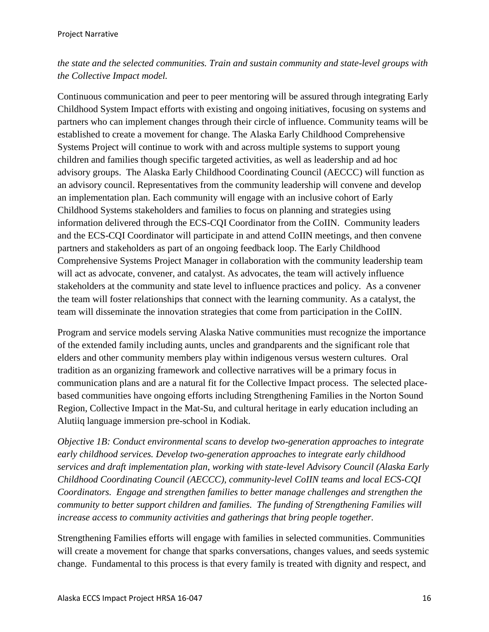### *the state and the selected communities. Train and sustain community and state-level groups with the Collective Impact model.*

Continuous communication and peer to peer mentoring will be assured through integrating Early Childhood System Impact efforts with existing and ongoing initiatives, focusing on systems and partners who can implement changes through their circle of influence. Community teams will be established to create a movement for change. The Alaska Early Childhood Comprehensive Systems Project will continue to work with and across multiple systems to support young children and families though specific targeted activities, as well as leadership and ad hoc advisory groups. The Alaska Early Childhood Coordinating Council (AECCC) will function as an advisory council. Representatives from the community leadership will convene and develop an implementation plan. Each community will engage with an inclusive cohort of Early Childhood Systems stakeholders and families to focus on planning and strategies using information delivered through the ECS-CQI Coordinator from the CoIIN. Community leaders and the ECS-CQI Coordinator will participate in and attend CoIIN meetings, and then convene partners and stakeholders as part of an ongoing feedback loop. The Early Childhood Comprehensive Systems Project Manager in collaboration with the community leadership team will act as advocate, convener, and catalyst. As advocates, the team will actively influence stakeholders at the community and state level to influence practices and policy. As a convener the team will foster relationships that connect with the learning community. As a catalyst, the team will disseminate the innovation strategies that come from participation in the CoIIN.

Program and service models serving Alaska Native communities must recognize the importance of the extended family including aunts, uncles and grandparents and the significant role that elders and other community members play within indigenous versus western cultures. Oral tradition as an organizing framework and collective narratives will be a primary focus in communication plans and are a natural fit for the Collective Impact process. The selected placebased communities have ongoing efforts including Strengthening Families in the Norton Sound Region, Collective Impact in the Mat-Su, and cultural heritage in early education including an Alutiiq language immersion pre-school in Kodiak.

*Objective 1B: Conduct environmental scans to develop two-generation approaches to integrate early childhood services. Develop two-generation approaches to integrate early childhood services and draft implementation plan, working with state-level Advisory Council (Alaska Early Childhood Coordinating Council (AECCC), community-level CoIIN teams and local ECS-CQI Coordinators. Engage and strengthen families to better manage challenges and strengthen the community to better support children and families. The funding of Strengthening Families will increase access to community activities and gatherings that bring people together.*

Strengthening Families efforts will engage with families in selected communities. Communities will create a movement for change that sparks conversations, changes values, and seeds systemic change. Fundamental to this process is that every family is treated with dignity and respect, and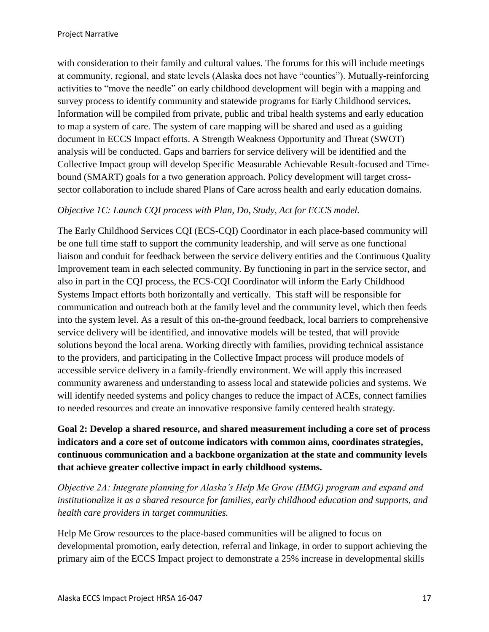with consideration to their family and cultural values. The forums for this will include meetings at community, regional, and state levels (Alaska does not have "counties"). Mutually-reinforcing activities to "move the needle" on early childhood development will begin with a mapping and survey process to identify community and statewide programs for Early Childhood services**.**  Information will be compiled from private, public and tribal health systems and early education to map a system of care. The system of care mapping will be shared and used as a guiding document in ECCS Impact efforts. A Strength Weakness Opportunity and Threat (SWOT) analysis will be conducted. Gaps and barriers for service delivery will be identified and the Collective Impact group will develop Specific Measurable Achievable Result-focused and Timebound (SMART) goals for a two generation approach. Policy development will target crosssector collaboration to include shared Plans of Care across health and early education domains.

#### *Objective 1C: Launch CQI process with Plan, Do, Study, Act for ECCS model.*

The Early Childhood Services CQI (ECS-CQI) Coordinator in each place-based community will be one full time staff to support the community leadership, and will serve as one functional liaison and conduit for feedback between the service delivery entities and the Continuous Quality Improvement team in each selected community. By functioning in part in the service sector, and also in part in the CQI process, the ECS-CQI Coordinator will inform the Early Childhood Systems Impact efforts both horizontally and vertically. This staff will be responsible for communication and outreach both at the family level and the community level, which then feeds into the system level. As a result of this on-the-ground feedback, local barriers to comprehensive service delivery will be identified, and innovative models will be tested, that will provide solutions beyond the local arena. Working directly with families, providing technical assistance to the providers, and participating in the Collective Impact process will produce models of accessible service delivery in a family-friendly environment. We will apply this increased community awareness and understanding to assess local and statewide policies and systems. We will identify needed systems and policy changes to reduce the impact of ACEs, connect families to needed resources and create an innovative responsive family centered health strategy.

### **Goal 2: Develop a shared resource, and shared measurement including a core set of process indicators and a core set of outcome indicators with common aims, coordinates strategies, continuous communication and a backbone organization at the state and community levels that achieve greater collective impact in early childhood systems.**

*Objective 2A: Integrate planning for Alaska's Help Me Grow (HMG) program and expand and institutionalize it as a shared resource for families, early childhood education and supports, and health care providers in target communities.* 

Help Me Grow resources to the place-based communities will be aligned to focus on developmental promotion, early detection, referral and linkage, in order to support achieving the primary aim of the ECCS Impact project to demonstrate a 25% increase in developmental skills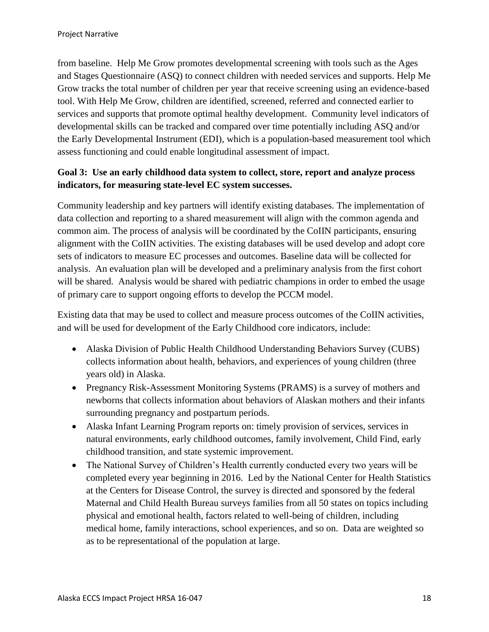from baseline. Help Me Grow promotes developmental screening with tools such as the Ages and Stages Questionnaire (ASQ) to connect children with needed services and supports. Help Me Grow tracks the total number of children per year that receive screening using an evidence-based tool. With Help Me Grow, children are identified, screened, referred and connected earlier to services and supports that promote optimal healthy development. Community level indicators of developmental skills can be tracked and compared over time potentially including ASQ and/or the Early Developmental Instrument (EDI), which is a population-based measurement tool which assess functioning and could enable longitudinal assessment of impact.

### **Goal 3: Use an early childhood data system to collect, store, report and analyze process indicators, for measuring state-level EC system successes.**

Community leadership and key partners will identify existing databases. The implementation of data collection and reporting to a shared measurement will align with the common agenda and common aim. The process of analysis will be coordinated by the CoIIN participants, ensuring alignment with the CoIIN activities. The existing databases will be used develop and adopt core sets of indicators to measure EC processes and outcomes. Baseline data will be collected for analysis. An evaluation plan will be developed and a preliminary analysis from the first cohort will be shared. Analysis would be shared with pediatric champions in order to embed the usage of primary care to support ongoing efforts to develop the PCCM model.

Existing data that may be used to collect and measure process outcomes of the CoIIN activities, and will be used for development of the Early Childhood core indicators, include:

- Alaska Division of Public Health Childhood Understanding Behaviors Survey (CUBS) collects information about health, behaviors, and experiences of young children (three years old) in Alaska.
- Pregnancy Risk-Assessment Monitoring Systems (PRAMS) is a survey of mothers and newborns that collects information about behaviors of Alaskan mothers and their infants surrounding pregnancy and postpartum periods.
- Alaska Infant Learning Program reports on: timely provision of services, services in natural environments, early childhood outcomes, family involvement, Child Find, early childhood transition, and state systemic improvement.
- The National Survey of Children's Health currently conducted every two years will be completed every year beginning in 2016. Led by the National Center for Health Statistics at the Centers for Disease Control, the survey is directed and sponsored by the federal Maternal and Child Health Bureau surveys families from all 50 states on topics including physical and emotional health, factors related to well-being of children, including medical home, family interactions, school experiences, and so on. Data are weighted so as to be representational of the population at large.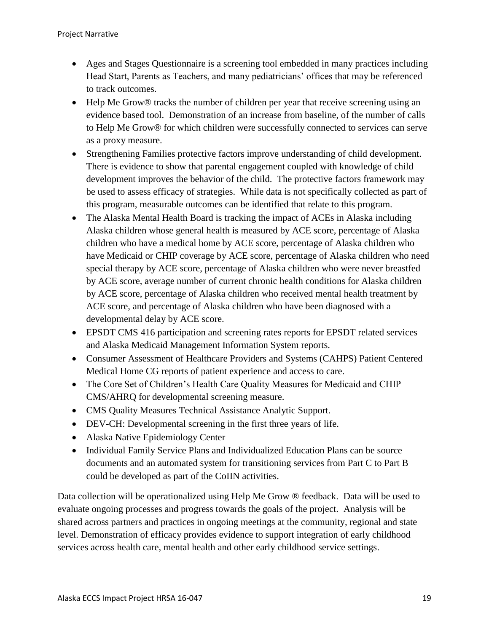- Ages and Stages Questionnaire is a screening tool embedded in many practices including Head Start, Parents as Teachers, and many pediatricians' offices that may be referenced to track outcomes.
- Help Me Grow® tracks the number of children per year that receive screening using an evidence based tool. Demonstration of an increase from baseline, of the number of calls to Help Me Grow® for which children were successfully connected to services can serve as a proxy measure.
- Strengthening Families protective factors improve understanding of child development. There is evidence to show that parental engagement coupled with knowledge of child development improves the behavior of the child. The protective factors framework may be used to assess efficacy of strategies. While data is not specifically collected as part of this program, measurable outcomes can be identified that relate to this program.
- The Alaska Mental Health Board is tracking the impact of ACEs in Alaska including Alaska children whose general health is measured by ACE score, percentage of Alaska children who have a medical home by ACE score, percentage of Alaska children who have Medicaid or CHIP coverage by ACE score, percentage of Alaska children who need special therapy by ACE score, percentage of Alaska children who were never breastfed by ACE score, average number of current chronic health conditions for Alaska children by ACE score, percentage of Alaska children who received mental health treatment by ACE score, and percentage of Alaska children who have been diagnosed with a developmental delay by ACE score.
- EPSDT CMS 416 participation and screening rates reports for EPSDT related services and Alaska Medicaid Management Information System reports.
- Consumer Assessment of Healthcare Providers and Systems (CAHPS) Patient Centered Medical Home CG reports of patient experience and access to care.
- The Core Set of Children's Health Care Quality Measures for Medicaid and CHIP CMS/AHRQ for developmental screening measure.
- CMS Quality Measures Technical Assistance Analytic Support.
- DEV-CH: Developmental screening in the first three years of life.
- Alaska Native Epidemiology Center
- Individual Family Service Plans and Individualized Education Plans can be source documents and an automated system for transitioning services from Part C to Part B could be developed as part of the CoIIN activities.

Data collection will be operationalized using Help Me Grow ® feedback. Data will be used to evaluate ongoing processes and progress towards the goals of the project. Analysis will be shared across partners and practices in ongoing meetings at the community, regional and state level. Demonstration of efficacy provides evidence to support integration of early childhood services across health care, mental health and other early childhood service settings.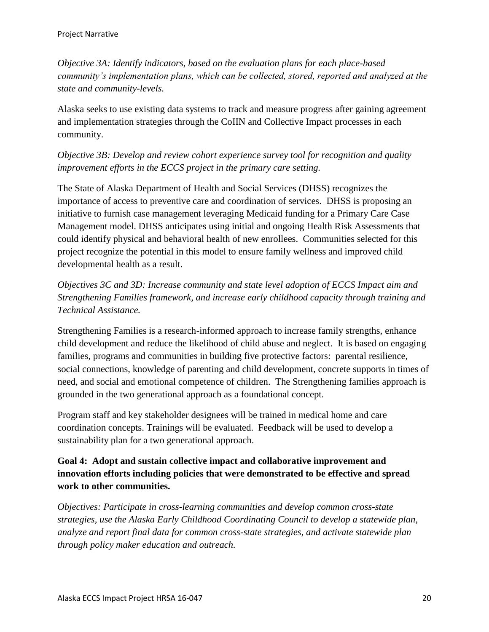*Objective 3A: Identify indicators, based on the evaluation plans for each place-based community's implementation plans, which can be collected, stored, reported and analyzed at the state and community-levels.* 

Alaska seeks to use existing data systems to track and measure progress after gaining agreement and implementation strategies through the CoIIN and Collective Impact processes in each community.

### *Objective 3B: Develop and review cohort experience survey tool for recognition and quality improvement efforts in the ECCS project in the primary care setting.*

The State of Alaska Department of Health and Social Services (DHSS) recognizes the importance of access to preventive care and coordination of services. DHSS is proposing an initiative to furnish case management leveraging Medicaid funding for a Primary Care Case Management model. DHSS anticipates using initial and ongoing Health Risk Assessments that could identify physical and behavioral health of new enrollees. Communities selected for this project recognize the potential in this model to ensure family wellness and improved child developmental health as a result.

*Objectives 3C and 3D: Increase community and state level adoption of ECCS Impact aim and Strengthening Families framework, and increase early childhood capacity through training and Technical Assistance.*

Strengthening Families is a research-informed approach to increase family strengths, enhance child development and reduce the likelihood of child abuse and neglect. It is based on engaging families, programs and communities in building five protective factors: parental resilience, social connections, knowledge of parenting and child development, concrete supports in times of need, and social and emotional competence of children. The Strengthening families approach is grounded in the two generational approach as a foundational concept.

Program staff and key stakeholder designees will be trained in medical home and care coordination concepts. Trainings will be evaluated. Feedback will be used to develop a sustainability plan for a two generational approach.

### **Goal 4: Adopt and sustain collective impact and collaborative improvement and innovation efforts including policies that were demonstrated to be effective and spread work to other communities.**

*Objectives: Participate in cross-learning communities and develop common cross-state strategies, use the Alaska Early Childhood Coordinating Council to develop a statewide plan, analyze and report final data for common cross-state strategies, and activate statewide plan through policy maker education and outreach.*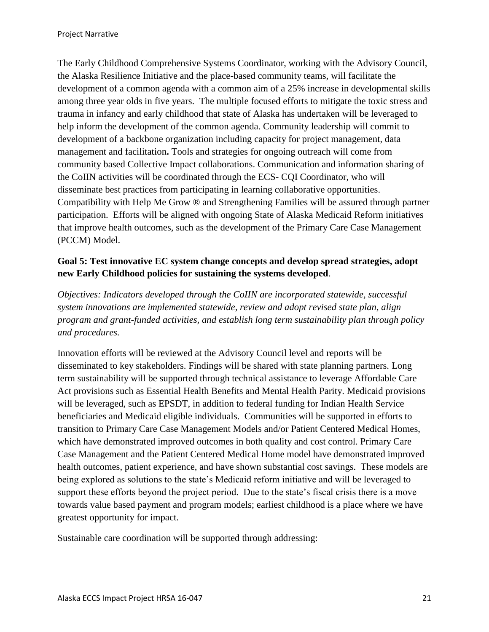The Early Childhood Comprehensive Systems Coordinator, working with the Advisory Council, the Alaska Resilience Initiative and the place-based community teams, will facilitate the development of a common agenda with a common aim of a 25% increase in developmental skills among three year olds in five years. The multiple focused efforts to mitigate the toxic stress and trauma in infancy and early childhood that state of Alaska has undertaken will be leveraged to help inform the development of the common agenda. Community leadership will commit to development of a backbone organization including capacity for project management, data management and facilitation**.** Tools and strategies for ongoing outreach will come from community based Collective Impact collaborations. Communication and information sharing of the CoIIN activities will be coordinated through the ECS- CQI Coordinator, who will disseminate best practices from participating in learning collaborative opportunities. Compatibility with Help Me Grow ® and Strengthening Families will be assured through partner participation. Efforts will be aligned with ongoing State of Alaska Medicaid Reform initiatives that improve health outcomes, such as the development of the Primary Care Case Management (PCCM) Model.

#### **Goal 5: Test innovative EC system change concepts and develop spread strategies, adopt new Early Childhood policies for sustaining the systems developed**.

*Objectives: Indicators developed through the CoIIN are incorporated statewide, successful system innovations are implemented statewide, review and adopt revised state plan, align program and grant-funded activities, and establish long term sustainability plan through policy and procedures.* 

Innovation efforts will be reviewed at the Advisory Council level and reports will be disseminated to key stakeholders. Findings will be shared with state planning partners. Long term sustainability will be supported through technical assistance to leverage Affordable Care Act provisions such as Essential Health Benefits and Mental Health Parity. Medicaid provisions will be leveraged, such as EPSDT, in addition to federal funding for Indian Health Service beneficiaries and Medicaid eligible individuals. Communities will be supported in efforts to transition to Primary Care Case Management Models and/or Patient Centered Medical Homes, which have demonstrated improved outcomes in both quality and cost control. Primary Care Case Management and the Patient Centered Medical Home model have demonstrated improved health outcomes, patient experience, and have shown substantial cost savings. These models are being explored as solutions to the state's Medicaid reform initiative and will be leveraged to support these efforts beyond the project period. Due to the state's fiscal crisis there is a move towards value based payment and program models; earliest childhood is a place where we have greatest opportunity for impact.

Sustainable care coordination will be supported through addressing: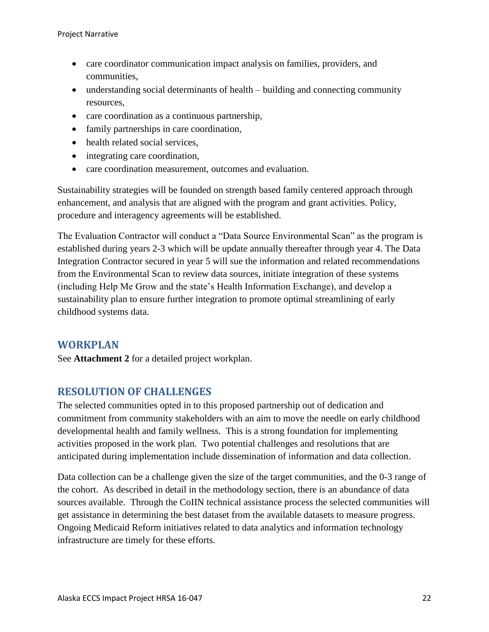- care coordinator communication impact analysis on families, providers, and communities,
- understanding social determinants of health building and connecting community resources,
- care coordination as a continuous partnership,
- family partnerships in care coordination,
- health related social services,
- integrating care coordination,
- care coordination measurement, outcomes and evaluation.

Sustainability strategies will be founded on strength based family centered approach through enhancement, and analysis that are aligned with the program and grant activities. Policy, procedure and interagency agreements will be established.

The Evaluation Contractor will conduct a "Data Source Environmental Scan" as the program is established during years 2-3 which will be update annually thereafter through year 4. The Data Integration Contractor secured in year 5 will sue the information and related recommendations from the Environmental Scan to review data sources, initiate integration of these systems (including Help Me Grow and the state's Health Information Exchange), and develop a sustainability plan to ensure further integration to promote optimal streamlining of early childhood systems data.

# <span id="page-22-0"></span>**WORKPLAN**

See **Attachment 2** for a detailed project workplan.

# <span id="page-22-1"></span>**RESOLUTION OF CHALLENGES**

The selected communities opted in to this proposed partnership out of dedication and commitment from community stakeholders with an aim to move the needle on early childhood developmental health and family wellness. This is a strong foundation for implementing activities proposed in the work plan. Two potential challenges and resolutions that are anticipated during implementation include dissemination of information and data collection.

Data collection can be a challenge given the size of the target communities, and the 0-3 range of the cohort. As described in detail in the methodology section, there is an abundance of data sources available. Through the CoIIN technical assistance process the selected communities will get assistance in determining the best dataset from the available datasets to measure progress. Ongoing Medicaid Reform initiatives related to data analytics and information technology infrastructure are timely for these efforts.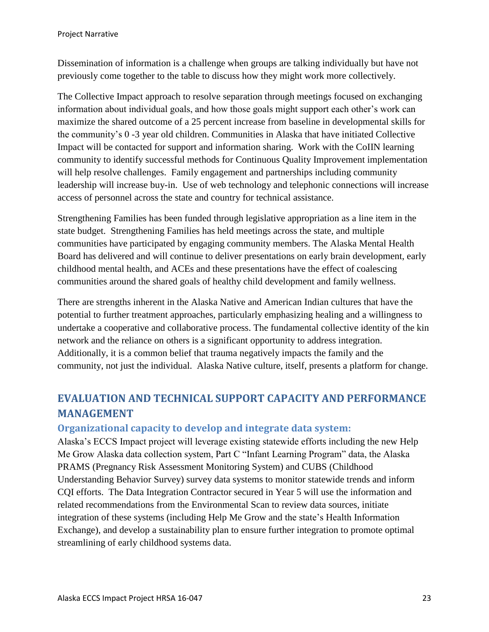Dissemination of information is a challenge when groups are talking individually but have not previously come together to the table to discuss how they might work more collectively.

The Collective Impact approach to resolve separation through meetings focused on exchanging information about individual goals, and how those goals might support each other's work can maximize the shared outcome of a 25 percent increase from baseline in developmental skills for the community's 0 -3 year old children. Communities in Alaska that have initiated Collective Impact will be contacted for support and information sharing. Work with the CoIIN learning community to identify successful methods for Continuous Quality Improvement implementation will help resolve challenges. Family engagement and partnerships including community leadership will increase buy-in. Use of web technology and telephonic connections will increase access of personnel across the state and country for technical assistance.

Strengthening Families has been funded through legislative appropriation as a line item in the state budget. Strengthening Families has held meetings across the state, and multiple communities have participated by engaging community members. The Alaska Mental Health Board has delivered and will continue to deliver presentations on early brain development, early childhood mental health, and ACEs and these presentations have the effect of coalescing communities around the shared goals of healthy child development and family wellness.

There are strengths inherent in the Alaska Native and American Indian cultures that have the potential to further treatment approaches, particularly emphasizing healing and a willingness to undertake a cooperative and collaborative process. The fundamental collective identity of the kin network and the reliance on others is a significant opportunity to address integration. Additionally, it is a common belief that trauma negatively impacts the family and the community, not just the individual. Alaska Native culture, itself, presents a platform for change.

# <span id="page-23-0"></span>**EVALUATION AND TECHNICAL SUPPORT CAPACITY AND PERFORMANCE MANAGEMENT**

### **Organizational capacity to develop and integrate data system:**

Alaska's ECCS Impact project will leverage existing statewide efforts including the new Help Me Grow Alaska data collection system, Part C "Infant Learning Program" data, the Alaska PRAMS (Pregnancy Risk Assessment Monitoring System) and CUBS (Childhood Understanding Behavior Survey) survey data systems to monitor statewide trends and inform CQI efforts. The Data Integration Contractor secured in Year 5 will use the information and related recommendations from the Environmental Scan to review data sources, initiate integration of these systems (including Help Me Grow and the state's Health Information Exchange), and develop a sustainability plan to ensure further integration to promote optimal streamlining of early childhood systems data.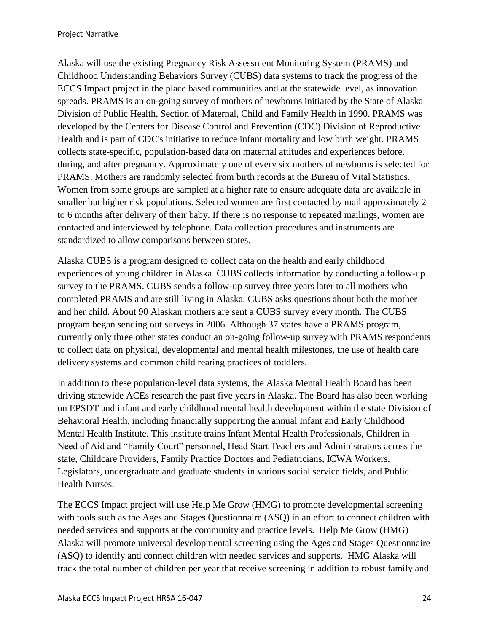Alaska will use the existing Pregnancy Risk Assessment Monitoring System (PRAMS) and Childhood Understanding Behaviors Survey (CUBS) data systems to track the progress of the ECCS Impact project in the place based communities and at the statewide level, as innovation spreads. PRAMS is an on-going survey of mothers of newborns initiated by the State of Alaska Division of Public Health, Section of Maternal, Child and Family Health in 1990. PRAMS was developed by the Centers for Disease Control and Prevention (CDC) Division of Reproductive Health and is part of CDC's initiative to reduce infant mortality and low birth weight. PRAMS collects state-specific, population-based data on maternal attitudes and experiences before, during, and after pregnancy. Approximately one of every six mothers of newborns is selected for PRAMS. Mothers are randomly selected from birth records at the Bureau of Vital Statistics. Women from some groups are sampled at a higher rate to ensure adequate data are available in smaller but higher risk populations. Selected women are first contacted by mail approximately 2 to 6 months after delivery of their baby. If there is no response to repeated mailings, women are contacted and interviewed by telephone. Data collection procedures and instruments are standardized to allow comparisons between states.

Alaska CUBS is a program designed to collect data on the health and early childhood experiences of young children in Alaska. CUBS collects information by conducting a follow-up survey to the PRAMS. CUBS sends a follow-up survey three years later to all mothers who completed PRAMS and are still living in Alaska. CUBS asks questions about both the mother and her child. About 90 Alaskan mothers are sent a CUBS survey every month. The CUBS program began sending out surveys in 2006. Although 37 states have a PRAMS program, currently only three other states conduct an on-going follow-up survey with PRAMS respondents to collect data on physical, developmental and mental health milestones, the use of health care delivery systems and common child rearing practices of toddlers.

In addition to these population-level data systems, the Alaska Mental Health Board has been driving statewide ACEs research the past five years in Alaska. The Board has also been working on EPSDT and infant and early childhood mental health development within the state Division of Behavioral Health, including financially supporting the annual Infant and Early Childhood Mental Health Institute. This institute trains Infant Mental Health Professionals, Children in Need of Aid and "Family Court" personnel, Head Start Teachers and Administrators across the state, Childcare Providers, Family Practice Doctors and Pediatricians, ICWA Workers, Legislators, undergraduate and graduate students in various social service fields, and Public Health Nurses.

The ECCS Impact project will use Help Me Grow (HMG) to promote developmental screening with tools such as the Ages and Stages Questionnaire (ASQ) in an effort to connect children with needed services and supports at the community and practice levels. Help Me Grow (HMG) Alaska will promote universal developmental screening using the Ages and Stages Questionnaire (ASQ) to identify and connect children with needed services and supports. HMG Alaska will track the total number of children per year that receive screening in addition to robust family and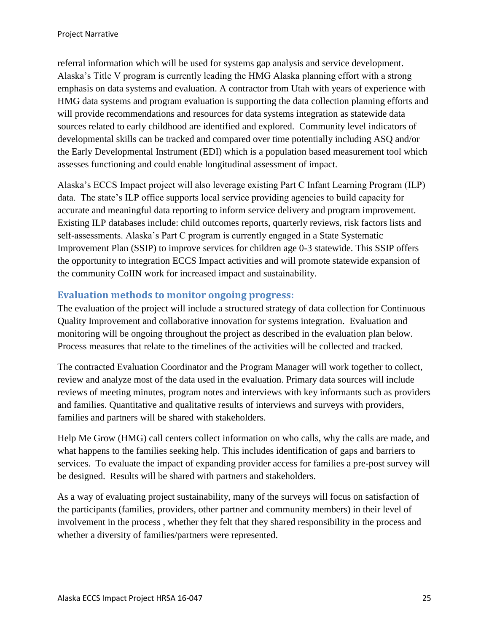referral information which will be used for systems gap analysis and service development. Alaska's Title V program is currently leading the HMG Alaska planning effort with a strong emphasis on data systems and evaluation. A contractor from Utah with years of experience with HMG data systems and program evaluation is supporting the data collection planning efforts and will provide recommendations and resources for data systems integration as statewide data sources related to early childhood are identified and explored. Community level indicators of developmental skills can be tracked and compared over time potentially including ASQ and/or the Early Developmental Instrument (EDI) which is a population based measurement tool which assesses functioning and could enable longitudinal assessment of impact.

Alaska's ECCS Impact project will also leverage existing Part C Infant Learning Program (ILP) data. The state's ILP office supports local service providing agencies to build capacity for accurate and meaningful data reporting to inform service delivery and program improvement. Existing ILP databases include: child outcomes reports, quarterly reviews, risk factors lists and self-assessments. Alaska's Part C program is currently engaged in a State Systematic Improvement Plan (SSIP) to improve services for children age 0-3 statewide. This SSIP offers the opportunity to integration ECCS Impact activities and will promote statewide expansion of the community CoIIN work for increased impact and sustainability.

### <span id="page-25-0"></span>**Evaluation methods to monitor ongoing progress:**

The evaluation of the project will include a structured strategy of data collection for Continuous Quality Improvement and collaborative innovation for systems integration. Evaluation and monitoring will be ongoing throughout the project as described in the evaluation plan below. Process measures that relate to the timelines of the activities will be collected and tracked.

The contracted Evaluation Coordinator and the Program Manager will work together to collect, review and analyze most of the data used in the evaluation. Primary data sources will include reviews of meeting minutes, program notes and interviews with key informants such as providers and families. Quantitative and qualitative results of interviews and surveys with providers, families and partners will be shared with stakeholders.

Help Me Grow (HMG) call centers collect information on who calls, why the calls are made, and what happens to the families seeking help. This includes identification of gaps and barriers to services. To evaluate the impact of expanding provider access for families a pre-post survey will be designed. Results will be shared with partners and stakeholders.

As a way of evaluating project sustainability, many of the surveys will focus on satisfaction of the participants (families, providers, other partner and community members) in their level of involvement in the process , whether they felt that they shared responsibility in the process and whether a diversity of families/partners were represented.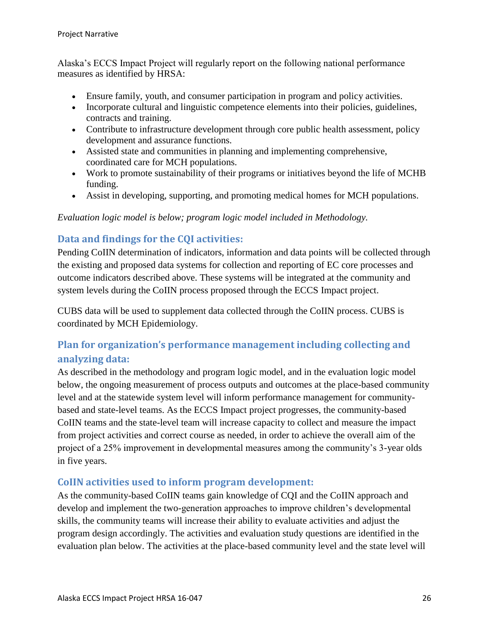Alaska's ECCS Impact Project will regularly report on the following national performance measures as identified by HRSA:

- Ensure family, youth, and consumer participation in program and policy activities.
- Incorporate cultural and linguistic competence elements into their policies, guidelines, contracts and training.
- Contribute to infrastructure development through core public health assessment, policy development and assurance functions.
- Assisted state and communities in planning and implementing comprehensive, coordinated care for MCH populations.
- Work to promote sustainability of their programs or initiatives beyond the life of MCHB funding.
- Assist in developing, supporting, and promoting medical homes for MCH populations.

#### *Evaluation logic model is below; program logic model included in Methodology.*

### <span id="page-26-0"></span>**Data and findings for the CQI activities:**

Pending CoIIN determination of indicators, information and data points will be collected through the existing and proposed data systems for collection and reporting of EC core processes and outcome indicators described above. These systems will be integrated at the community and system levels during the CoIIN process proposed through the ECCS Impact project.

CUBS data will be used to supplement data collected through the CoIIN process. CUBS is coordinated by MCH Epidemiology.

# <span id="page-26-1"></span>**Plan for organization's performance management including collecting and analyzing data:**

As described in the methodology and program logic model, and in the evaluation logic model below, the ongoing measurement of process outputs and outcomes at the place-based community level and at the statewide system level will inform performance management for communitybased and state-level teams. As the ECCS Impact project progresses, the community-based CoIIN teams and the state-level team will increase capacity to collect and measure the impact from project activities and correct course as needed, in order to achieve the overall aim of the project of a 25% improvement in developmental measures among the community's 3-year olds in five years.

### <span id="page-26-2"></span>**CoIIN activities used to inform program development:**

As the community-based CoIIN teams gain knowledge of CQI and the CoIIN approach and develop and implement the two-generation approaches to improve children's developmental skills, the community teams will increase their ability to evaluate activities and adjust the program design accordingly. The activities and evaluation study questions are identified in the evaluation plan below. The activities at the place-based community level and the state level will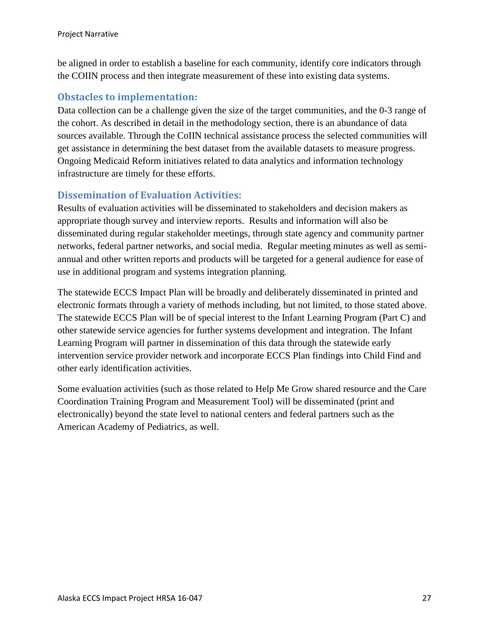be aligned in order to establish a baseline for each community, identify core indicators through the COIIN process and then integrate measurement of these into existing data systems.

### <span id="page-27-0"></span>**Obstacles to implementation:**

Data collection can be a challenge given the size of the target communities, and the 0-3 range of the cohort. As described in detail in the methodology section, there is an abundance of data sources available. Through the CoIIN technical assistance process the selected communities will get assistance in determining the best dataset from the available datasets to measure progress. Ongoing Medicaid Reform initiatives related to data analytics and information technology infrastructure are timely for these efforts.

### <span id="page-27-1"></span>**Dissemination of Evaluation Activities:**

Results of evaluation activities will be disseminated to stakeholders and decision makers as appropriate though survey and interview reports. Results and information will also be disseminated during regular stakeholder meetings, through state agency and community partner networks, federal partner networks, and social media. Regular meeting minutes as well as semiannual and other written reports and products will be targeted for a general audience for ease of use in additional program and systems integration planning.

The statewide ECCS Impact Plan will be broadly and deliberately disseminated in printed and electronic formats through a variety of methods including, but not limited, to those stated above. The statewide ECCS Plan will be of special interest to the Infant Learning Program (Part C) and other statewide service agencies for further systems development and integration. The Infant Learning Program will partner in dissemination of this data through the statewide early intervention service provider network and incorporate ECCS Plan findings into Child Find and other early identification activities.

Some evaluation activities (such as those related to Help Me Grow shared resource and the Care Coordination Training Program and Measurement Tool) will be disseminated (print and electronically) beyond the state level to national centers and federal partners such as the American Academy of Pediatrics, as well.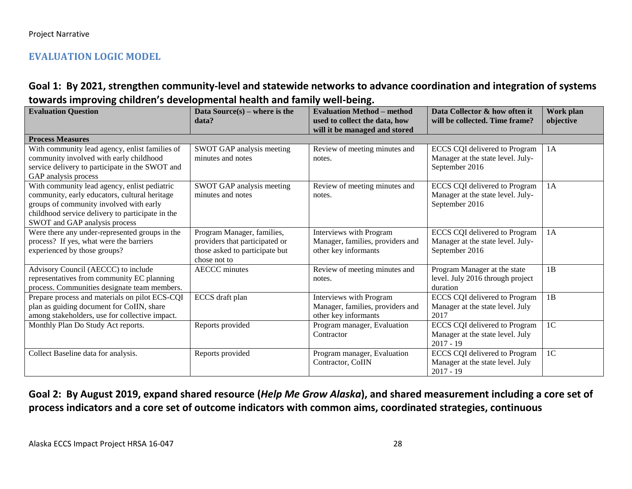### **EVALUATION LOGIC MODEL**

### **Goal 1: By 2021, strengthen community-level and statewide networks to advance coordination and integration of systems towards improving children's developmental health and family well-being.**

<span id="page-28-0"></span>

| <b>Evaluation Question</b>                       | Data Source $(s)$ – where is the | <b>Evaluation Method – method</b> | Data Collector & how often it        | Work plan      |
|--------------------------------------------------|----------------------------------|-----------------------------------|--------------------------------------|----------------|
|                                                  | data?                            | used to collect the data, how     | will be collected. Time frame?       | objective      |
|                                                  |                                  | will it be managed and stored     |                                      |                |
| <b>Process Measures</b>                          |                                  |                                   |                                      |                |
| With community lead agency, enlist families of   | SWOT GAP analysis meeting        | Review of meeting minutes and     | <b>ECCS CQI</b> delivered to Program | 1A             |
| community involved with early childhood          | minutes and notes                | notes.                            | Manager at the state level. July-    |                |
| service delivery to participate in the SWOT and  |                                  |                                   | September 2016                       |                |
| GAP analysis process                             |                                  |                                   |                                      |                |
| With community lead agency, enlist pediatric     | SWOT GAP analysis meeting        | Review of meeting minutes and     | <b>ECCS CQI</b> delivered to Program | 1A             |
| community, early educators, cultural heritage    | minutes and notes                | notes.                            | Manager at the state level. July-    |                |
| groups of community involved with early          |                                  |                                   | September 2016                       |                |
| childhood service delivery to participate in the |                                  |                                   |                                      |                |
| SWOT and GAP analysis process                    |                                  |                                   |                                      |                |
| Were there any under-represented groups in the   | Program Manager, families,       | Interviews with Program           | <b>ECCS CQI</b> delivered to Program | 1A             |
| process? If yes, what were the barriers          | providers that participated or   | Manager, families, providers and  | Manager at the state level. July-    |                |
| experienced by those groups?                     | those asked to participate but   | other key informants              | September 2016                       |                |
|                                                  | chose not to                     |                                   |                                      |                |
| Advisory Council (AECCC) to include              | <b>AECCC</b> minutes             | Review of meeting minutes and     | Program Manager at the state         | 1B             |
| representatives from community EC planning       |                                  | notes.                            | level. July 2016 through project     |                |
| process. Communities designate team members.     |                                  |                                   | duration                             |                |
| Prepare process and materials on pilot ECS-CQI   | ECCS draft plan                  | Interviews with Program           | ECCS CQI delivered to Program        | 1B             |
| plan as guiding document for CoIIN, share        |                                  | Manager, families, providers and  | Manager at the state level. July     |                |
| among stakeholders, use for collective impact.   |                                  | other key informants              | 2017                                 |                |
| Monthly Plan Do Study Act reports.               | Reports provided                 | Program manager, Evaluation       | <b>ECCS CQI</b> delivered to Program | 1 <sub>C</sub> |
|                                                  |                                  | Contractor                        | Manager at the state level. July     |                |
|                                                  |                                  |                                   | $2017 - 19$                          |                |
| Collect Baseline data for analysis.              | Reports provided                 | Program manager, Evaluation       | <b>ECCS CQI</b> delivered to Program | 1 <sup>C</sup> |
|                                                  |                                  | Contractor, CoIIN                 | Manager at the state level. July     |                |
|                                                  |                                  |                                   | $2017 - 19$                          |                |

# **Goal 2: By August 2019, expand shared resource (***Help Me Grow Alaska***), and shared measurement including a core set of process indicators and a core set of outcome indicators with common aims, coordinated strategies, continuous**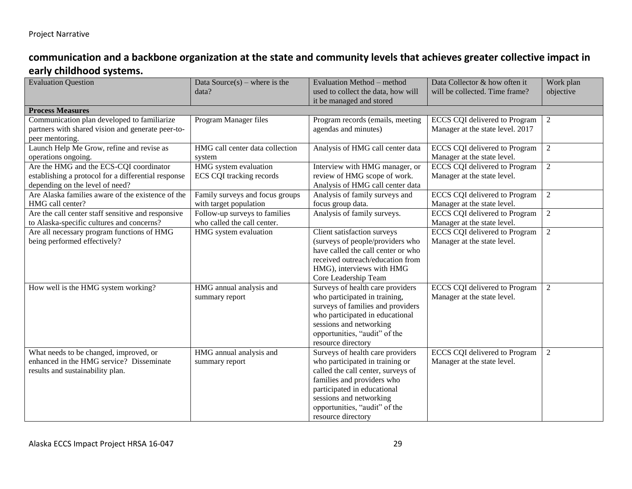# **communication and a backbone organization at the state and community levels that achieves greater collective impact in early childhood systems.**

| <b>Evaluation Question</b>                                                                                                        | Data Source $(s)$ – where is the<br>data?                    | Evaluation Method - method<br>used to collect the data, how will<br>it be managed and stored                                                                                                                                                             | Data Collector & how often it<br>will be collected. Time frame?          | Work plan<br>objective |
|-----------------------------------------------------------------------------------------------------------------------------------|--------------------------------------------------------------|----------------------------------------------------------------------------------------------------------------------------------------------------------------------------------------------------------------------------------------------------------|--------------------------------------------------------------------------|------------------------|
| <b>Process Measures</b>                                                                                                           |                                                              |                                                                                                                                                                                                                                                          |                                                                          |                        |
| Communication plan developed to familiarize<br>partners with shared vision and generate peer-to-<br>peer mentoring.               | Program Manager files                                        | Program records (emails, meeting<br>agendas and minutes)                                                                                                                                                                                                 | <b>ECCS CQI</b> delivered to Program<br>Manager at the state level. 2017 | $\mathfrak{2}$         |
| Launch Help Me Grow, refine and revise as<br>operations ongoing.                                                                  | HMG call center data collection<br>system                    | Analysis of HMG call center data                                                                                                                                                                                                                         | <b>ECCS CQI</b> delivered to Program<br>Manager at the state level.      | $\overline{2}$         |
| Are the HMG and the ECS-CQI coordinator<br>establishing a protocol for a differential response<br>depending on the level of need? | HMG system evaluation<br>ECS CQI tracking records            | Interview with HMG manager, or<br>review of HMG scope of work.<br>Analysis of HMG call center data                                                                                                                                                       | <b>ECCS CQI</b> delivered to Program<br>Manager at the state level.      | $\overline{2}$         |
| Are Alaska families aware of the existence of the<br>HMG call center?                                                             | Family surveys and focus groups<br>with target population    | Analysis of family surveys and<br>focus group data.                                                                                                                                                                                                      | <b>ECCS CQI</b> delivered to Program<br>Manager at the state level.      | $\overline{2}$         |
| Are the call center staff sensitive and responsive<br>to Alaska-specific cultures and concerns?                                   | Follow-up surveys to families<br>who called the call center. | Analysis of family surveys.                                                                                                                                                                                                                              | <b>ECCS CQI</b> delivered to Program<br>Manager at the state level.      | $\mathfrak{2}$         |
| Are all necessary program functions of HMG<br>being performed effectively?                                                        | HMG system evaluation                                        | Client satisfaction surveys<br>(surveys of people/providers who<br>have called the call center or who<br>received outreach/education from<br>HMG), interviews with HMG<br>Core Leadership Team                                                           | <b>ECCS CQI</b> delivered to Program<br>Manager at the state level.      | $\overline{2}$         |
| How well is the HMG system working?                                                                                               | HMG annual analysis and<br>summary report                    | Surveys of health care providers<br>who participated in training,<br>surveys of families and providers<br>who participated in educational<br>sessions and networking<br>opportunities, "audit" of the<br>resource directory                              | <b>ECCS CQI</b> delivered to Program<br>Manager at the state level.      | $\overline{2}$         |
| What needs to be changed, improved, or<br>enhanced in the HMG service? Disseminate<br>results and sustainability plan.            | HMG annual analysis and<br>summary report                    | Surveys of health care providers<br>who participated in training or<br>called the call center, surveys of<br>families and providers who<br>participated in educational<br>sessions and networking<br>opportunities, "audit" of the<br>resource directory | <b>ECCS CQI</b> delivered to Program<br>Manager at the state level.      | $\sqrt{2}$             |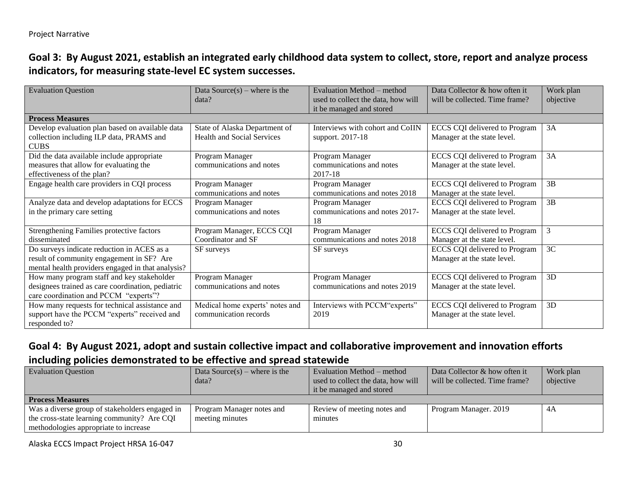# **Goal 3: By August 2021, establish an integrated early childhood data system to collect, store, report and analyze process indicators, for measuring state-level EC system successes.**

| <b>Evaluation Question</b>                        | Data Source $(s)$ – where is the  | Evaluation Method – method         | Data Collector & how often it        | Work plan |
|---------------------------------------------------|-----------------------------------|------------------------------------|--------------------------------------|-----------|
|                                                   | data?                             | used to collect the data, how will | will be collected. Time frame?       | objective |
|                                                   |                                   | it be managed and stored           |                                      |           |
| <b>Process Measures</b>                           |                                   |                                    |                                      |           |
| Develop evaluation plan based on available data   | State of Alaska Department of     | Interviews with cohort and CoIIN   | ECCS CQI delivered to Program        | 3A        |
| collection including ILP data, PRAMS and          | <b>Health and Social Services</b> | support. 2017-18                   | Manager at the state level.          |           |
| <b>CUBS</b>                                       |                                   |                                    |                                      |           |
| Did the data available include appropriate        | Program Manager                   | Program Manager                    | <b>ECCS CQI</b> delivered to Program | 3A        |
| measures that allow for evaluating the            | communications and notes          | communications and notes           | Manager at the state level.          |           |
| effectiveness of the plan?                        |                                   | 2017-18                            |                                      |           |
| Engage health care providers in CQI process       | Program Manager                   | Program Manager                    | <b>ECCS CQI</b> delivered to Program | 3B        |
|                                                   | communications and notes          | communications and notes 2018      | Manager at the state level.          |           |
| Analyze data and develop adaptations for ECCS     | Program Manager                   | Program Manager                    | <b>ECCS CQI</b> delivered to Program | 3B        |
| in the primary care setting                       | communications and notes          | communications and notes 2017-     | Manager at the state level.          |           |
|                                                   |                                   | 18                                 |                                      |           |
| Strengthening Families protective factors         | Program Manager, ECCS CQI         | Program Manager                    | ECCS CQI delivered to Program        | 3         |
| disseminated                                      | Coordinator and SF                | communications and notes 2018      | Manager at the state level.          |           |
| Do surveys indicate reduction in ACES as a        | SF surveys                        | SF surveys                         | <b>ECCS CQI</b> delivered to Program | 3C        |
| result of community engagement in SF? Are         |                                   |                                    | Manager at the state level.          |           |
| mental health providers engaged in that analysis? |                                   |                                    |                                      |           |
| How many program staff and key stakeholder        | Program Manager                   | Program Manager                    | <b>ECCS CQI</b> delivered to Program | 3D        |
| designees trained as care coordination, pediatric | communications and notes          | communications and notes 2019      | Manager at the state level.          |           |
| care coordination and PCCM "experts"?             |                                   |                                    |                                      |           |
| How many requests for technical assistance and    | Medical home experts' notes and   | Interviews with PCCM"experts"      | <b>ECCS CQI</b> delivered to Program | 3D        |
| support have the PCCM "experts" received and      | communication records             | 2019                               | Manager at the state level.          |           |
| responded to?                                     |                                   |                                    |                                      |           |

# **Goal 4: By August 2021, adopt and sustain collective impact and collaborative improvement and innovation efforts including policies demonstrated to be effective and spread statewide**

| <b>Evaluation Question</b>                     | Data Source $(s)$ – where is the<br>data? | Evaluation Method – method<br>used to collect the data, how will | Data Collector & how often it<br>will be collected. Time frame? | Work plan<br>objective |
|------------------------------------------------|-------------------------------------------|------------------------------------------------------------------|-----------------------------------------------------------------|------------------------|
|                                                |                                           | it be managed and stored                                         |                                                                 |                        |
| <b>Process Measures</b>                        |                                           |                                                                  |                                                                 |                        |
| Was a diverse group of stakeholders engaged in | Program Manager notes and                 | Review of meeting notes and                                      | Program Manager. 2019                                           | 4A                     |
| the cross-state learning community? Are CQI    | meeting minutes                           | minutes                                                          |                                                                 |                        |
| methodologies appropriate to increase          |                                           |                                                                  |                                                                 |                        |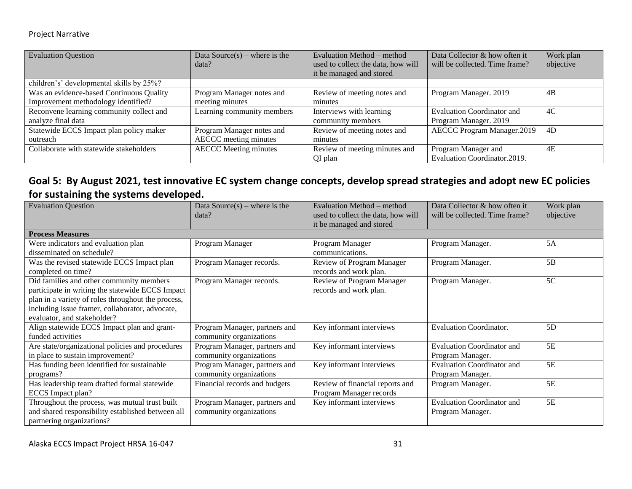#### Project Narrative

| <b>Evaluation Question</b>               | Data Source(s) – where is the | Evaluation Method – method         | Data Collector & how often it     | Work plan |
|------------------------------------------|-------------------------------|------------------------------------|-----------------------------------|-----------|
|                                          | data?                         | used to collect the data, how will | will be collected. Time frame?    | objective |
|                                          |                               | it be managed and stored           |                                   |           |
| children's' developmental skills by 25%? |                               |                                    |                                   |           |
| Was an evidence-based Continuous Quality | Program Manager notes and     | Review of meeting notes and        | Program Manager. 2019             | 4B        |
| Improvement methodology identified?      | meeting minutes               | minutes                            |                                   |           |
| Reconvene learning community collect and | Learning community members    | Interviews with learning           | <b>Evaluation Coordinator and</b> | 4C        |
| analyze final data                       |                               | community members                  | Program Manager. 2019             |           |
| Statewide ECCS Impact plan policy maker  | Program Manager notes and     | Review of meeting notes and        | <b>AECCC Program Manager.2019</b> | 4D        |
| outreach                                 | AECCC meeting minutes         | minutes                            |                                   |           |
| Collaborate with statewide stakeholders  | <b>AECCC</b> Meeting minutes  | Review of meeting minutes and      | Program Manager and               | 4E        |
|                                          |                               | QI plan                            | Evaluation Coordinator.2019.      |           |

# **Goal 5: By August 2021, test innovative EC system change concepts, develop spread strategies and adopt new EC policies for sustaining the systems developed.**

| <b>Evaluation Question</b>                         | Data Source $(s)$ – where is the | Evaluation Method – method         | Data Collector & how often it     | Work plan |
|----------------------------------------------------|----------------------------------|------------------------------------|-----------------------------------|-----------|
|                                                    | data?                            | used to collect the data, how will | will be collected. Time frame?    | objective |
|                                                    |                                  | it be managed and stored           |                                   |           |
| <b>Process Measures</b>                            |                                  |                                    |                                   |           |
| Were indicators and evaluation plan                | Program Manager                  | Program Manager                    | Program Manager.                  | 5A        |
| disseminated on schedule?                          |                                  | communications.                    |                                   |           |
| Was the revised statewide ECCS Impact plan         | Program Manager records.         | Review of Program Manager          | Program Manager.                  | 5B        |
| completed on time?                                 |                                  | records and work plan.             |                                   |           |
| Did families and other community members           | Program Manager records.         | Review of Program Manager          | Program Manager.                  | 5C        |
| participate in writing the statewide ECCS Impact   |                                  | records and work plan.             |                                   |           |
| plan in a variety of roles throughout the process, |                                  |                                    |                                   |           |
| including issue framer, collaborator, advocate,    |                                  |                                    |                                   |           |
| evaluator, and stakeholder?                        |                                  |                                    |                                   |           |
| Align statewide ECCS Impact plan and grant-        | Program Manager, partners and    | Key informant interviews           | <b>Evaluation Coordinator.</b>    | 5D        |
| funded activities                                  | community organizations          |                                    |                                   |           |
| Are state/organizational policies and procedures   | Program Manager, partners and    | Key informant interviews           | <b>Evaluation Coordinator and</b> | 5E        |
| in place to sustain improvement?                   | community organizations          |                                    | Program Manager.                  |           |
| Has funding been identified for sustainable        | Program Manager, partners and    | Key informant interviews           | <b>Evaluation Coordinator and</b> | 5E        |
| programs?                                          | community organizations          |                                    | Program Manager.                  |           |
| Has leadership team drafted formal statewide       | Financial records and budgets    | Review of financial reports and    | Program Manager.                  | 5E        |
| ECCS Impact plan?                                  |                                  | Program Manager records            |                                   |           |
| Throughout the process, was mutual trust built     | Program Manager, partners and    | Key informant interviews           | <b>Evaluation Coordinator and</b> | 5E        |
| and shared responsibility established between all  | community organizations          |                                    | Program Manager.                  |           |
| partnering organizations?                          |                                  |                                    |                                   |           |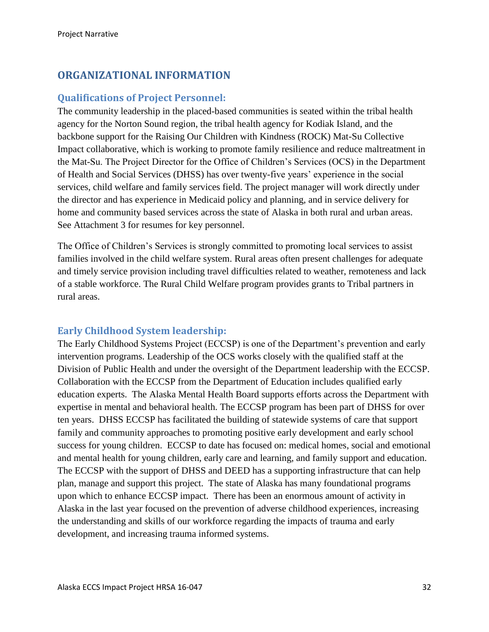# <span id="page-32-0"></span>**ORGANIZATIONAL INFORMATION**

#### <span id="page-32-1"></span>**Qualifications of Project Personnel:**

The community leadership in the placed-based communities is seated within the tribal health agency for the Norton Sound region, the tribal health agency for Kodiak Island, and the backbone support for the Raising Our Children with Kindness (ROCK) Mat-Su Collective Impact collaborative, which is working to promote family resilience and reduce maltreatment in the Mat-Su. The Project Director for the Office of Children's Services (OCS) in the Department of Health and Social Services (DHSS) has over twenty-five years' experience in the social services, child welfare and family services field. The project manager will work directly under the director and has experience in Medicaid policy and planning, and in service delivery for home and community based services across the state of Alaska in both rural and urban areas. See Attachment 3 for resumes for key personnel.

The Office of Children's Services is strongly committed to promoting local services to assist families involved in the child welfare system. Rural areas often present challenges for adequate and timely service provision including travel difficulties related to weather, remoteness and lack of a stable workforce. The Rural Child Welfare program provides grants to Tribal partners in rural areas.

#### <span id="page-32-2"></span>**Early Childhood System leadership:**

The Early Childhood Systems Project (ECCSP) is one of the Department's prevention and early intervention programs. Leadership of the OCS works closely with the qualified staff at the Division of Public Health and under the oversight of the Department leadership with the ECCSP. Collaboration with the ECCSP from the Department of Education includes qualified early education experts. The Alaska Mental Health Board supports efforts across the Department with expertise in mental and behavioral health. The ECCSP program has been part of DHSS for over ten years. DHSS ECCSP has facilitated the building of statewide systems of care that support family and community approaches to promoting positive early development and early school success for young children. ECCSP to date has focused on: medical homes, social and emotional and mental health for young children, early care and learning, and family support and education. The ECCSP with the support of DHSS and DEED has a supporting infrastructure that can help plan, manage and support this project. The state of Alaska has many foundational programs upon which to enhance ECCSP impact. There has been an enormous amount of activity in Alaska in the last year focused on the prevention of adverse childhood experiences, increasing the understanding and skills of our workforce regarding the impacts of trauma and early development, and increasing trauma informed systems.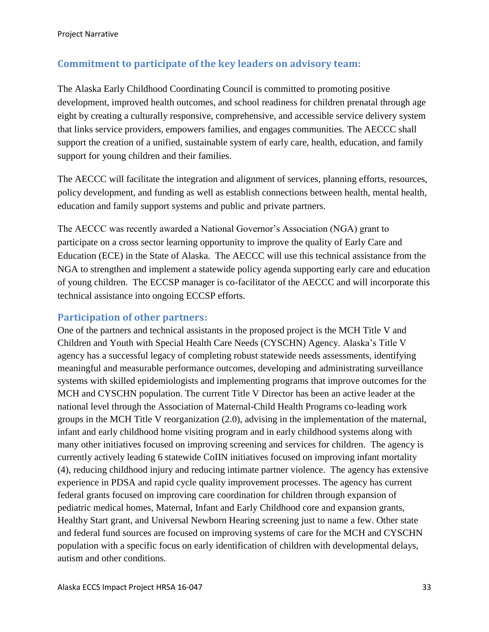### <span id="page-33-0"></span>**Commitment to participate of the key leaders on advisory team:**

The Alaska Early Childhood Coordinating Council is committed to promoting positive development, improved health outcomes, and school readiness for children prenatal through age eight by creating a culturally responsive, comprehensive, and accessible service delivery system that links service providers, empowers families, and engages communities. The AECCC shall support the creation of a unified, sustainable system of early care, health, education, and family support for young children and their families.

The AECCC will facilitate the integration and alignment of services, planning efforts, resources, policy development, and funding as well as establish connections between health, mental health, education and family support systems and public and private partners.

The AECCC was recently awarded a National Governor's Association (NGA) grant to participate on a cross sector learning opportunity to improve the quality of Early Care and Education (ECE) in the State of Alaska. The AECCC will use this technical assistance from the NGA to strengthen and implement a statewide policy agenda supporting early care and education of young children. The ECCSP manager is co-facilitator of the AECCC and will incorporate this technical assistance into ongoing ECCSP efforts.

#### <span id="page-33-1"></span>**Participation of other partners:**

One of the partners and technical assistants in the proposed project is the MCH Title V and Children and Youth with Special Health Care Needs (CYSCHN) Agency. Alaska's Title V agency has a successful legacy of completing robust statewide needs assessments, identifying meaningful and measurable performance outcomes, developing and administrating surveillance systems with skilled epidemiologists and implementing programs that improve outcomes for the MCH and CYSCHN population. The current Title V Director has been an active leader at the national level through the Association of Maternal-Child Health Programs co-leading work groups in the MCH Title V reorganization (2.0), advising in the implementation of the maternal, infant and early childhood home visiting program and in early childhood systems along with many other initiatives focused on improving screening and services for children. The agency is currently actively leading 6 statewide CoIIN initiatives focused on improving infant mortality (4), reducing childhood injury and reducing intimate partner violence. The agency has extensive experience in PDSA and rapid cycle quality improvement processes. The agency has current federal grants focused on improving care coordination for children through expansion of pediatric medical homes, Maternal, Infant and Early Childhood core and expansion grants, Healthy Start grant, and Universal Newborn Hearing screening just to name a few. Other state and federal fund sources are focused on improving systems of care for the MCH and CYSCHN population with a specific focus on early identification of children with developmental delays, autism and other conditions.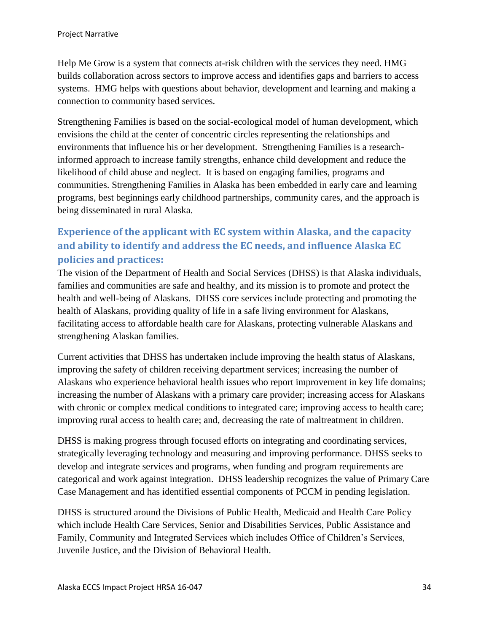Help Me Grow is a system that connects at-risk children with the services they need. HMG builds collaboration across sectors to improve access and identifies gaps and barriers to access systems. HMG helps with questions about behavior, development and learning and making a connection to community based services.

Strengthening Families is based on the social-ecological model of human development, which envisions the child at the center of concentric circles representing the relationships and environments that influence his or her development. Strengthening Families is a researchinformed approach to increase family strengths, enhance child development and reduce the likelihood of child abuse and neglect. It is based on engaging families, programs and communities. Strengthening Families in Alaska has been embedded in early care and learning programs, best beginnings early childhood partnerships, community cares, and the approach is being disseminated in rural Alaska.

# <span id="page-34-0"></span>**Experience of the applicant with EC system within Alaska, and the capacity and ability to identify and address the EC needs, and influence Alaska EC policies and practices:**

The vision of the Department of Health and Social Services (DHSS) is that Alaska individuals, families and communities are safe and healthy, and its mission is to promote and protect the health and well-being of Alaskans. DHSS core services include protecting and promoting the health of Alaskans, providing quality of life in a safe living environment for Alaskans, facilitating access to affordable health care for Alaskans, protecting vulnerable Alaskans and strengthening Alaskan families.

Current activities that DHSS has undertaken include improving the health status of Alaskans, improving the safety of children receiving department services; increasing the number of Alaskans who experience behavioral health issues who report improvement in key life domains; increasing the number of Alaskans with a primary care provider; increasing access for Alaskans with chronic or complex medical conditions to integrated care; improving access to health care; improving rural access to health care; and, decreasing the rate of maltreatment in children.

DHSS is making progress through focused efforts on integrating and coordinating services, strategically leveraging technology and measuring and improving performance. DHSS seeks to develop and integrate services and programs, when funding and program requirements are categorical and work against integration. DHSS leadership recognizes the value of Primary Care Case Management and has identified essential components of PCCM in pending legislation.

DHSS is structured around the Divisions of Public Health, Medicaid and Health Care Policy which include Health Care Services, Senior and Disabilities Services, Public Assistance and Family, Community and Integrated Services which includes Office of Children's Services, Juvenile Justice, and the Division of Behavioral Health.